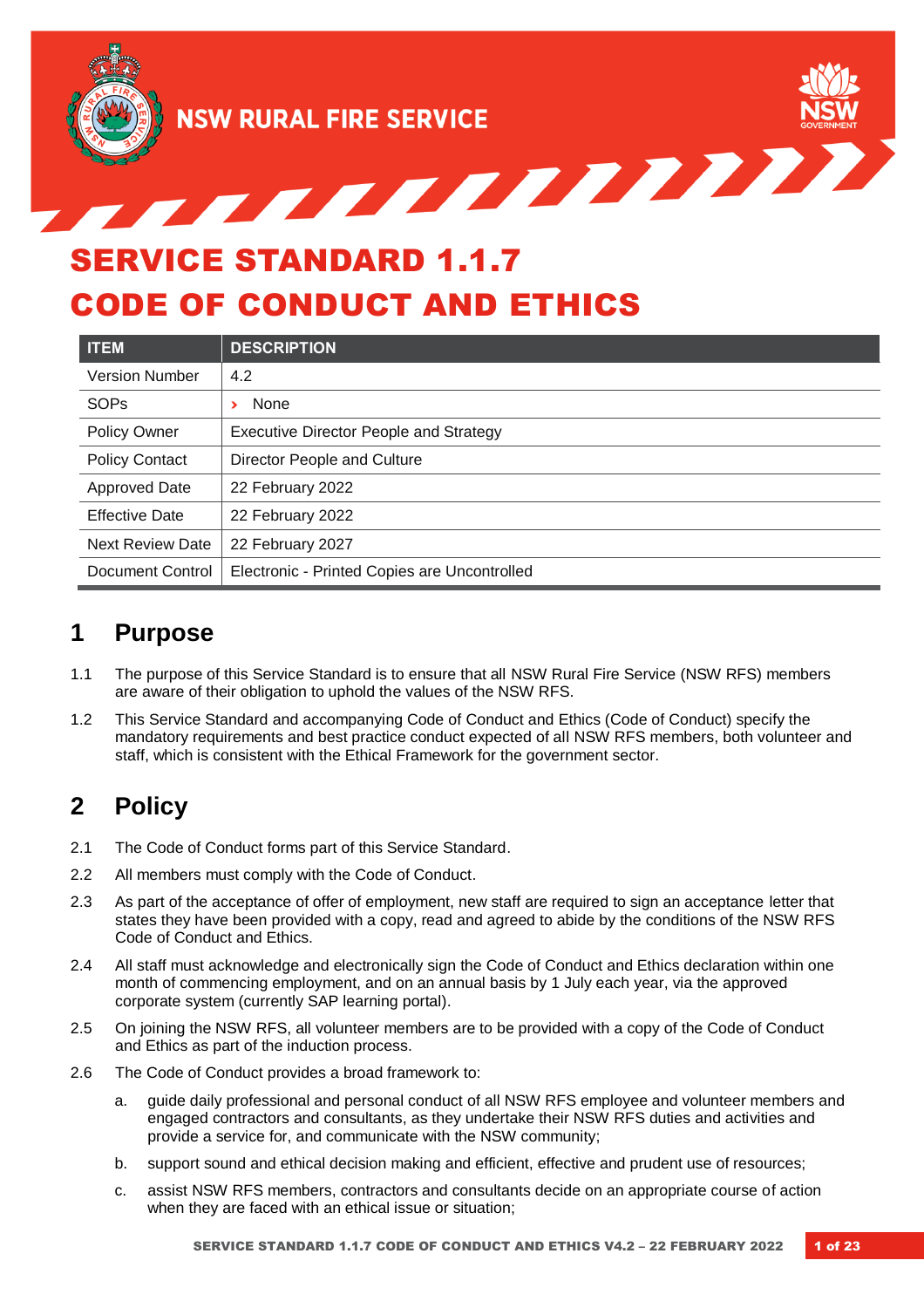

<u>STATISTICATION IN TERMINISTICATION IN TERMINISTICATION IN TERMINISTICATION IN TERMINISTICATION IN TERMINISTICATION IN TERMINISTICATION IN TERMINISTICATION IN TERMINISTICATION IN TERMINISTICATION IN TERMINISTICATION IN TER</u>

# SERVICE STANDARD 1.1.7 CODE OF CONDUCT AND ETHICS

| <b>ITEM</b>             | <b>DESCRIPTION</b>                            |
|-------------------------|-----------------------------------------------|
| <b>Version Number</b>   | 4.2                                           |
| <b>SOPs</b>             | None                                          |
| Policy Owner            | <b>Executive Director People and Strategy</b> |
| <b>Policy Contact</b>   | Director People and Culture                   |
| <b>Approved Date</b>    | 22 February 2022                              |
| <b>Effective Date</b>   | 22 February 2022                              |
| <b>Next Review Date</b> | 22 February 2027                              |
| Document Control        | Electronic - Printed Copies are Uncontrolled  |

### **1 Purpose**

- 1.1 The purpose of this Service Standard is to ensure that all NSW Rural Fire Service (NSW RFS) members are aware of their obligation to uphold the values of the NSW RFS.
- 1.2 This Service Standard and accompanying Code of Conduct and Ethics (Code of Conduct) specify the mandatory requirements and best practice conduct expected of all NSW RFS members, both volunteer and staff, which is consistent with the Ethical Framework for the government sector.

# **2 Policy**

- 2.1 The Code of Conduct forms part of this Service Standard.
- 2.2 All members must comply with the Code of Conduct.
- 2.3 As part of the acceptance of offer of employment, new staff are required to sign an acceptance letter that states they have been provided with a copy, read and agreed to abide by the conditions of the NSW RFS Code of Conduct and Ethics.
- 2.4 All staff must acknowledge and electronically sign the Code of Conduct and Ethics declaration within one month of commencing employment, and on an annual basis by 1 July each year, via the approved corporate system (currently SAP learning portal).
- 2.5 On joining the NSW RFS, all volunteer members are to be provided with a copy of the Code of Conduct and Ethics as part of the induction process.
- 2.6 The Code of Conduct provides a broad framework to:
	- a. guide daily professional and personal conduct of all NSW RFS employee and volunteer members and engaged contractors and consultants, as they undertake their NSW RFS duties and activities and provide a service for, and communicate with the NSW community;
	- b. support sound and ethical decision making and efficient, effective and prudent use of resources;
	- c. assist NSW RFS members, contractors and consultants decide on an appropriate course of action when they are faced with an ethical issue or situation;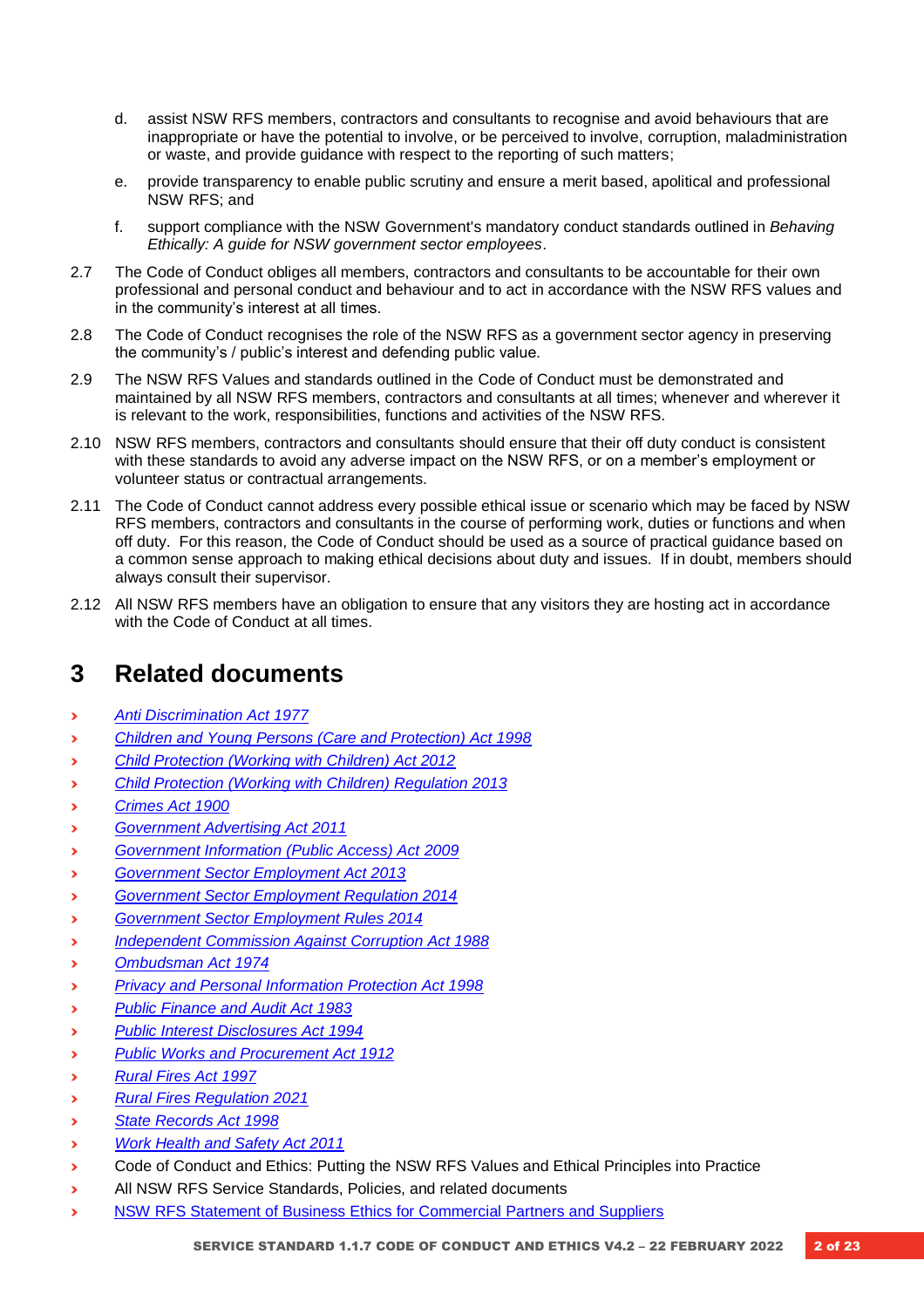- d. assist NSW RFS members, contractors and consultants to recognise and avoid behaviours that are inappropriate or have the potential to involve, or be perceived to involve, corruption, maladministration or waste, and provide guidance with respect to the reporting of such matters;
- e. provide transparency to enable public scrutiny and ensure a merit based, apolitical and professional NSW RFS; and
- f. support compliance with the NSW Government's mandatory conduct standards outlined in *Behaving Ethically: A guide for NSW government sector employees*.
- 2.7 The Code of Conduct obliges all members, contractors and consultants to be accountable for their own professional and personal conduct and behaviour and to act in accordance with the NSW RFS values and in the community's interest at all times.
- 2.8 The Code of Conduct recognises the role of the NSW RFS as a government sector agency in preserving the community's / public's interest and defending public value.
- 2.9 The NSW RFS Values and standards outlined in the Code of Conduct must be demonstrated and maintained by all NSW RFS members, contractors and consultants at all times; whenever and wherever it is relevant to the work, responsibilities, functions and activities of the NSW RFS.
- 2.10 NSW RFS members, contractors and consultants should ensure that their off duty conduct is consistent with these standards to avoid any adverse impact on the NSW RFS, or on a member's employment or volunteer status or contractual arrangements.
- 2.11 The Code of Conduct cannot address every possible ethical issue or scenario which may be faced by NSW RFS members, contractors and consultants in the course of performing work, duties or functions and when off duty. For this reason, the Code of Conduct should be used as a source of practical guidance based on a common sense approach to making ethical decisions about duty and issues. If in doubt, members should always consult their supervisor.
- 2.12 All NSW RFS members have an obligation to ensure that any visitors they are hosting act in accordance with the Code of Conduct at all times.

### **3 Related documents**

- **›** *[Anti Discrimination Act 1977](https://legislation.nsw.gov.au/view/html/inforce/current/act-1977-048)*
- **›** *[Children and Young Persons \(Care and Protection\) Act 1998](https://legislation.nsw.gov.au/view/html/inforce/current/act-1998-157)*
- **›** *[Child Protection \(Working with Children\) Act 2012](https://legislation.nsw.gov.au/view/whole/html/inforce/current/act-2012-051)*
- **›** *[Child Protection \(Working with Children\) Regulation 2013](https://legislation.nsw.gov.au/view/html/inforce/current/sl-2013-0156)*
- **›** *[Crimes Act 1900](https://legislation.nsw.gov.au/view/html/inforce/current/act-1900-040)*
- **›** *[Government Advertising Act 2011](https://legislation.nsw.gov.au/view/html/inforce/current/act-2011-035)*
- **›** *[Government Information \(Public Access\) Act 2009](https://legislation.nsw.gov.au/view/html/inforce/current/act-2009-052)*
- **›** *[Government Sector Employment Act 2013](https://legislation.nsw.gov.au/view/html/inforce/current/act-2013-040)*
- **›** *[Government Sector Employment Regulation 2014](https://legislation.nsw.gov.au/view/html/inforce/current/sl-2014-0060)*
- **›** *[Government Sector Employment Rules 2014](https://legislation.nsw.gov.au/view/html/inforce/current/sl-2014-0065)*
- **›** *[Independent Commission Against Corruption Act 1988](https://legislation.nsw.gov.au/view/html/inforce/current/act-1988-035)*
- **›** *[Ombudsman Act 1974](https://legislation.nsw.gov.au/view/html/inforce/current/act-1974-068)*
- **›** *[Privacy and Personal Information Protection Act 1998](https://legislation.nsw.gov.au/view/html/inforce/current/act-1998-133)*
- **›** *[Public Finance and Audit Act 1983](https://legislation.nsw.gov.au/view/html/inforce/2003-05-23/act-1983-152)*
- **›** *[Public Interest Disclosures Act 1994](https://legislation.nsw.gov.au/view/html/inforce/current/act-1994-092)*
- **›** *[Public Works and Procurement Act 1912](https://legislation.nsw.gov.au/view/html/inforce/current/act-1912-045)*
- **›** *[Rural Fires Act 1997](https://legislation.nsw.gov.au/view/html/inforce/current/act-1997-065)*
- **›** *[Rural Fires Regulation 2021](https://www.rfs.nsw.gov.au/__data/assets/file/0005/216167/Rural-Fires-Act-1997-Rural-Fires-Regulation-2021-version-s2020-561-d09.PDF)*
- **›** *[State Records Act 1998](https://legislation.nsw.gov.au/view/html/inforce/current/act-1998-017)*
- **›** *[Work Health and Safety Act 2011](https://legislation.nsw.gov.au/view/html/inforce/current/act-2011-010)*
- **›** Code of Conduct and Ethics: Putting the NSW RFS Values and Ethical Principles into Practice
- **›** All NSW RFS Service Standards, Policies, and related documents
- **›** [NSW RFS Statement of Business Ethics for Commercial Partners and Suppliers](https://www.rfs.nsw.gov.au/__data/assets/pdf_file/0014/30245/NSW-RFS-Statement-of-Business-Ethics-Sept-20.pdf)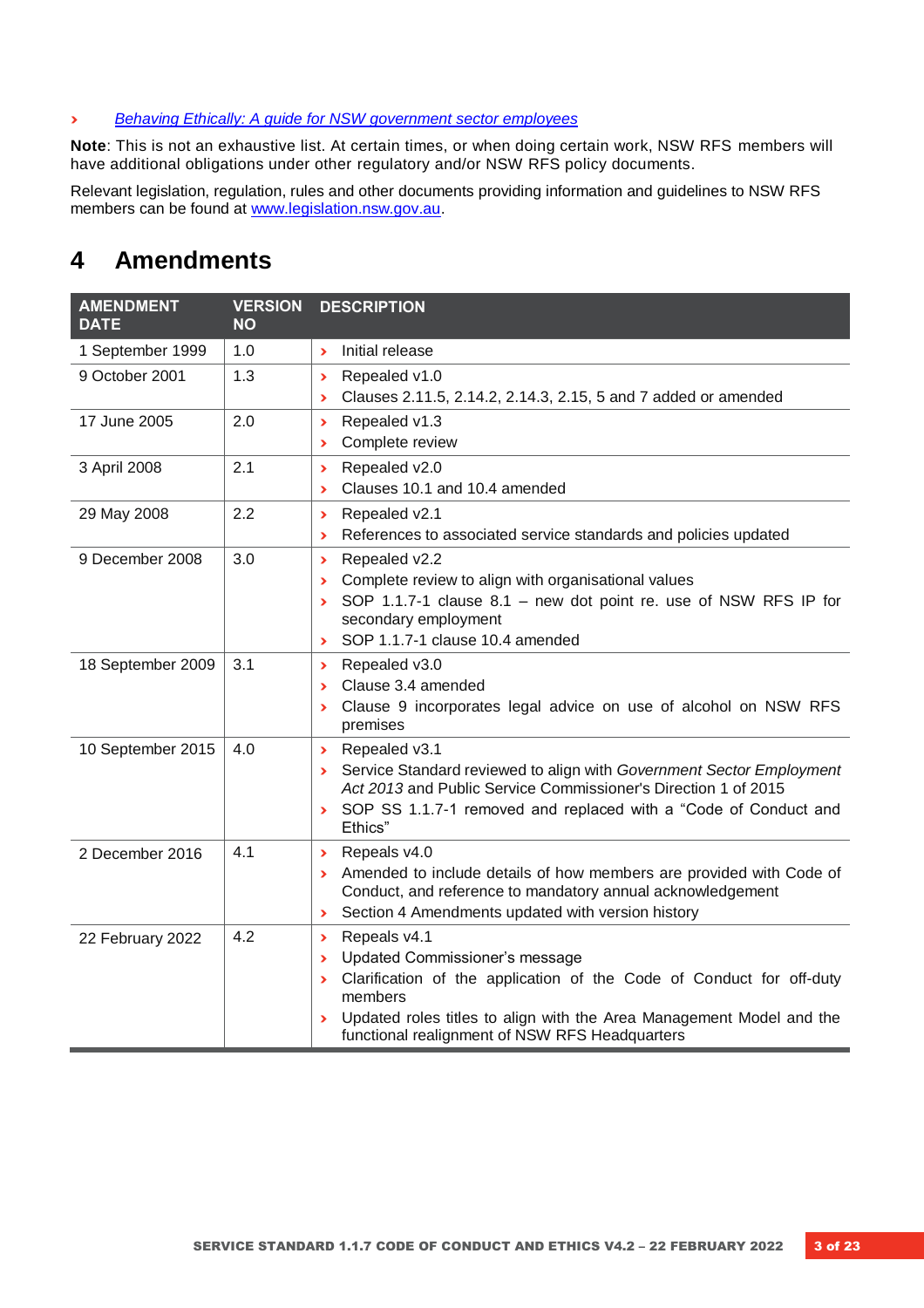#### **›** *[Behaving Ethically: A guide for NSW government sector employees](https://arp.nsw.gov.au/pscc-2014-13-behaving-ethically-guide-nsw-government-sector-employees)*

**Note**: This is not an exhaustive list. At certain times, or when doing certain work, NSW RFS members will have additional obligations under other regulatory and/or NSW RFS policy documents.

Relevant legislation, regulation, rules and other documents providing information and guidelines to NSW RFS members can be found at [www.legislation.nsw.gov.au.](http://www.legislation.nsw.gov.au/)

### **4 Amendments**

| <b>AMENDMENT</b><br><b>DATE</b> | <b>VERSION</b><br>NΟ | <b>DESCRIPTION</b>                                                                                                                                                                                                                                                                                                                                              |
|---------------------------------|----------------------|-----------------------------------------------------------------------------------------------------------------------------------------------------------------------------------------------------------------------------------------------------------------------------------------------------------------------------------------------------------------|
| 1 September 1999                | 1.0                  | Initial release<br>$\blacktriangleright$                                                                                                                                                                                                                                                                                                                        |
| 9 October 2001                  | 1.3                  | Repealed v1.0<br>$\blacktriangleright$<br>Clauses 2.11.5, 2.14.2, 2.14.3, 2.15, 5 and 7 added or amended<br>$\blacktriangleright$                                                                                                                                                                                                                               |
| 17 June 2005                    | 2.0                  | Repealed v1.3<br>$\blacktriangleright$<br>Complete review<br>⋗                                                                                                                                                                                                                                                                                                  |
| 3 April 2008                    | 2.1                  | Repealed v2.0<br>$\blacktriangleright$<br>Clauses 10.1 and 10.4 amended<br>$\blacktriangleright$                                                                                                                                                                                                                                                                |
| 29 May 2008                     | 2.2                  | Repealed v2.1<br>$\blacktriangleright$<br>References to associated service standards and policies updated<br>$\blacktriangleright$                                                                                                                                                                                                                              |
| 9 December 2008                 | 3.0                  | Repealed v2.2<br>$\blacktriangleright$<br>Complete review to align with organisational values<br>$\blacktriangleright$<br>SOP 1.1.7-1 clause 8.1 - new dot point re. use of NSW RFS IP for<br>$\blacktriangleright$<br>secondary employment<br>SOP 1.1.7-1 clause 10.4 amended<br>$\blacktriangleright$                                                         |
| 18 September 2009               | 3.1                  | Repealed v3.0<br>$\blacktriangleright$<br>Clause 3.4 amended<br>⋗<br>Clause 9 incorporates legal advice on use of alcohol on NSW RFS<br>Y.<br>premises                                                                                                                                                                                                          |
| 10 September 2015               | 4.0                  | Repealed v3.1<br>$\blacktriangleright$<br>Service Standard reviewed to align with Government Sector Employment<br>Y.<br>Act 2013 and Public Service Commissioner's Direction 1 of 2015<br>SOP SS 1.1.7-1 removed and replaced with a "Code of Conduct and<br>×.<br>Ethics"                                                                                      |
| 2 December 2016                 | 4.1                  | Repeals v4.0<br>$\blacktriangleright$<br>Amended to include details of how members are provided with Code of<br>$\blacktriangleright$<br>Conduct, and reference to mandatory annual acknowledgement<br>Section 4 Amendments updated with version history<br>$\blacktriangleright$                                                                               |
| 22 February 2022                | 4.2                  | Repeals v4.1<br>$\blacktriangleright$<br>Updated Commissioner's message<br>$\blacktriangleright$<br>Clarification of the application of the Code of Conduct for off-duty<br>$\blacktriangleright$<br>members<br>Updated roles titles to align with the Area Management Model and the<br>$\blacktriangleright$<br>functional realignment of NSW RFS Headquarters |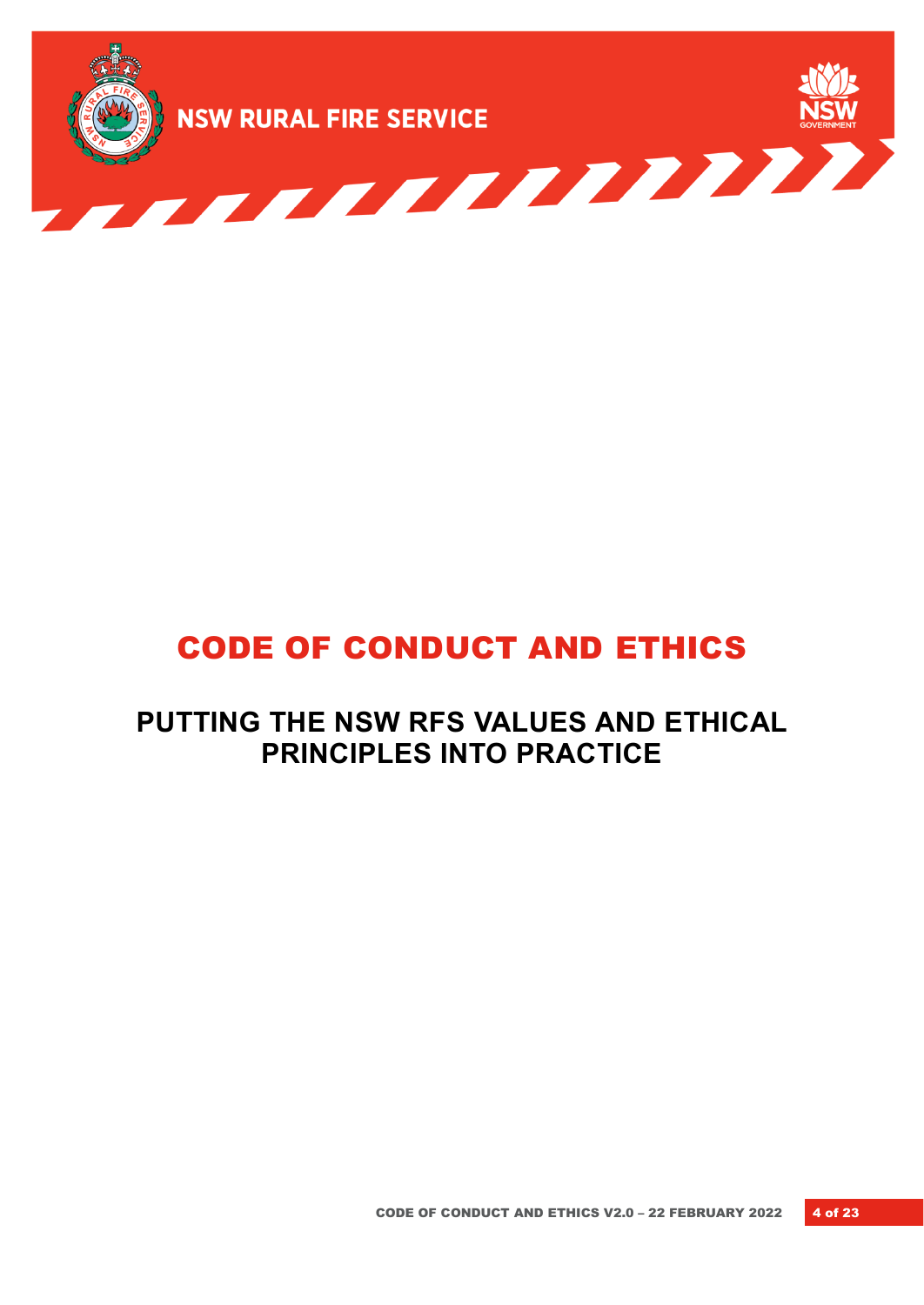

# CODE OF CONDUCT AND ETHICS

# **PUTTING THE NSW RFS VALUES AND ETHICAL PRINCIPLES INTO PRACTICE**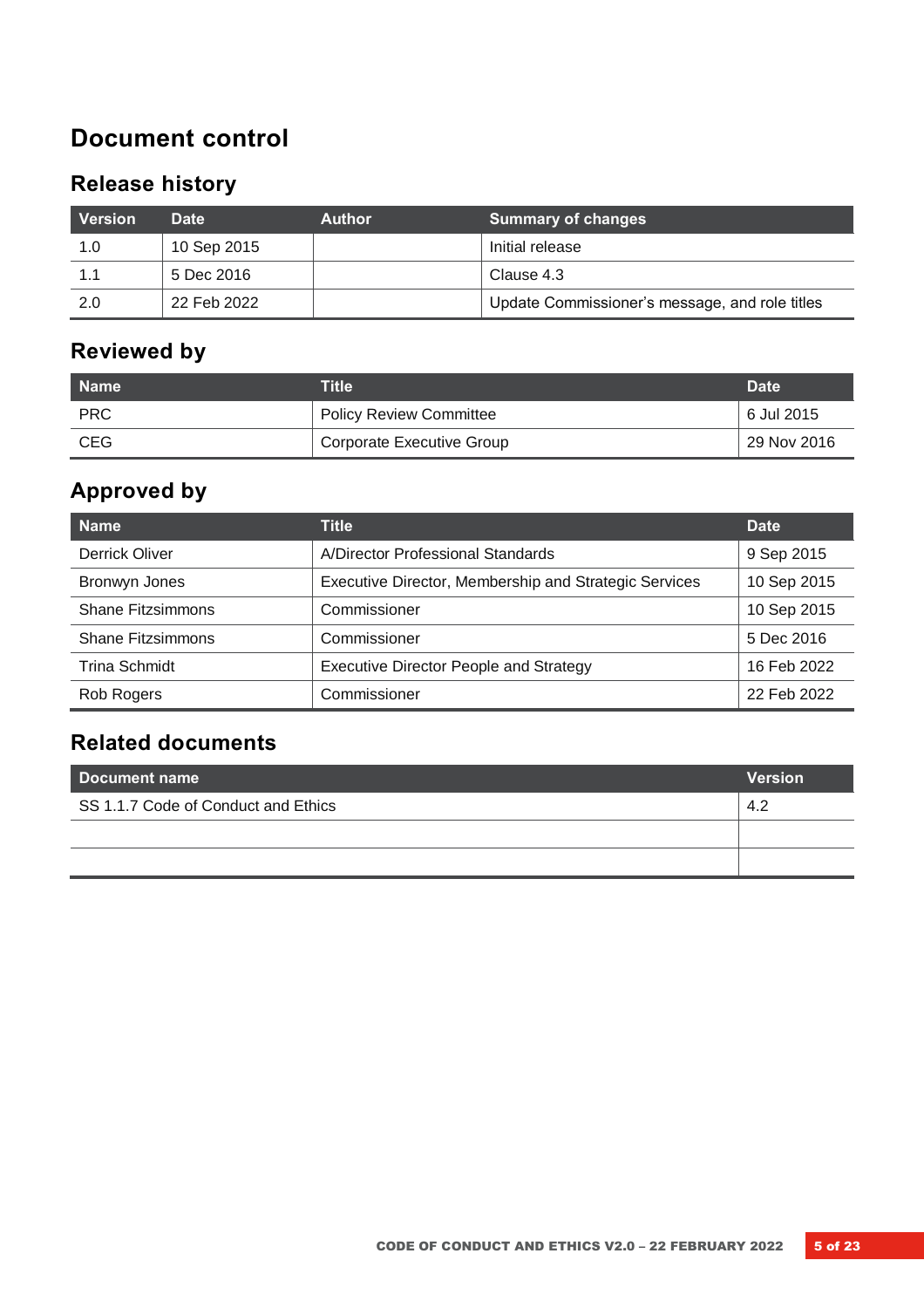# **Document control**

# **Release history**

| Version | <b>Date</b> | <b>Author</b> | <b>Summary of changes</b>                      |
|---------|-------------|---------------|------------------------------------------------|
| 1.0     | 10 Sep 2015 |               | Initial release                                |
| 1.1     | 5 Dec 2016  |               | Clause 4.3                                     |
| 2.0     | 22 Feb 2022 |               | Update Commissioner's message, and role titles |

### **Reviewed by**

| l Name     | Title                            | <b>Date</b> |
|------------|----------------------------------|-------------|
| <b>PRC</b> | <b>Policy Review Committee</b>   | 6 Jul 2015  |
| <b>CEG</b> | <b>Corporate Executive Group</b> | 29 Nov 2016 |

# **Approved by**

| <b>Name</b>              | Title                                                 | <b>Date</b> |
|--------------------------|-------------------------------------------------------|-------------|
| Derrick Oliver           | A/Director Professional Standards                     | 9 Sep 2015  |
| Bronwyn Jones            | Executive Director, Membership and Strategic Services | 10 Sep 2015 |
| <b>Shane Fitzsimmons</b> | Commissioner                                          | 10 Sep 2015 |
| <b>Shane Fitzsimmons</b> | Commissioner                                          | 5 Dec 2016  |
| Trina Schmidt            | Executive Director People and Strategy                | 16 Feb 2022 |
| Rob Rogers               | Commissioner                                          | 22 Feb 2022 |

### **Related documents**

| <b>Version</b><br>l Document name   |     |
|-------------------------------------|-----|
| SS 1.1.7 Code of Conduct and Ethics | 4.2 |
|                                     |     |
|                                     |     |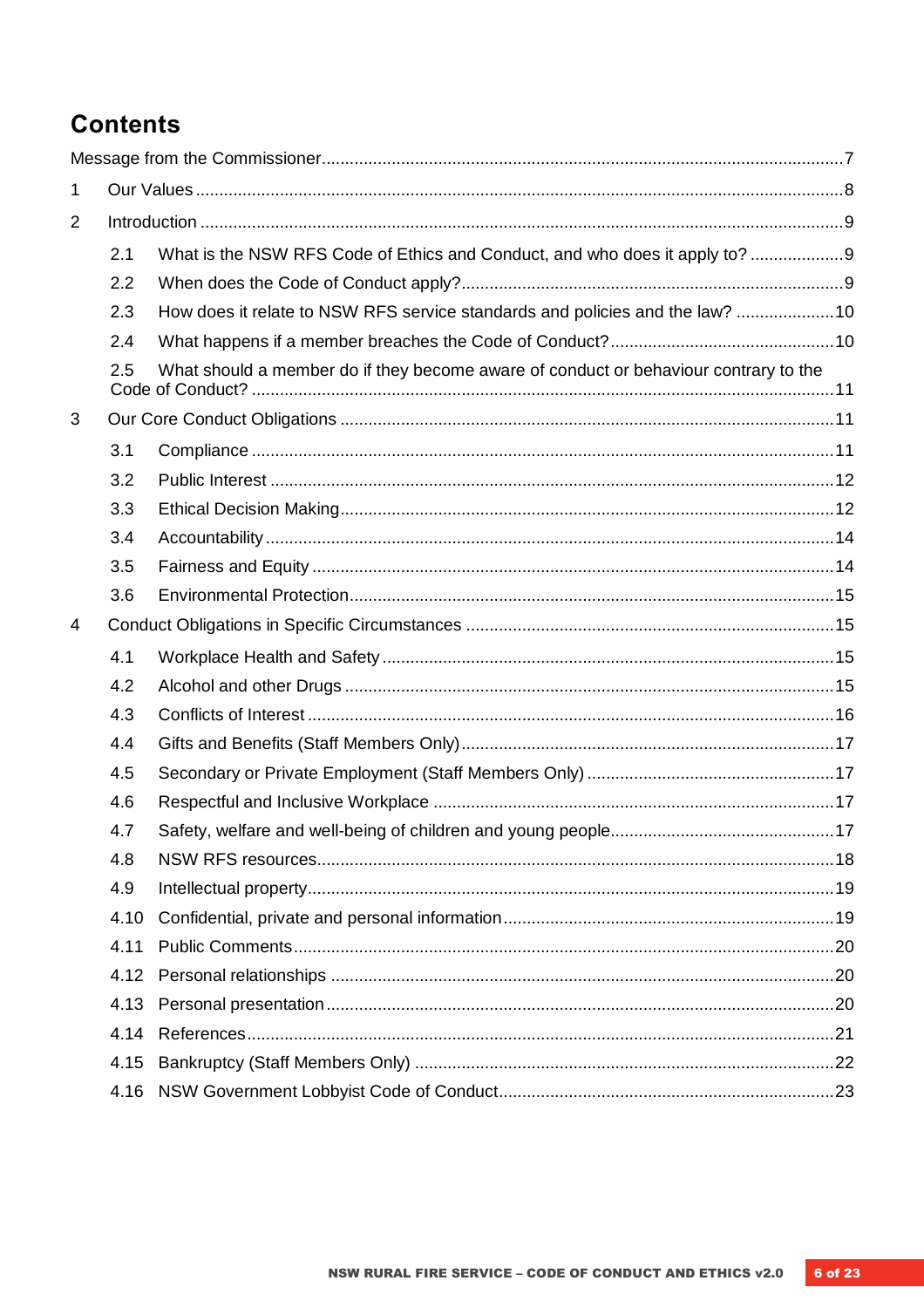# **Contents**

| $\mathbf{1}$   |      |                                                                                      |  |
|----------------|------|--------------------------------------------------------------------------------------|--|
| $\overline{2}$ |      |                                                                                      |  |
|                | 2.1  | What is the NSW RFS Code of Ethics and Conduct, and who does it apply to? 9          |  |
|                | 2.2  |                                                                                      |  |
|                | 2.3  | How does it relate to NSW RFS service standards and policies and the law? 10         |  |
|                | 2.4  |                                                                                      |  |
|                | 2.5  | What should a member do if they become aware of conduct or behaviour contrary to the |  |
| 3              |      |                                                                                      |  |
|                | 3.1  |                                                                                      |  |
|                | 3.2  |                                                                                      |  |
|                | 3.3  |                                                                                      |  |
|                | 3.4  |                                                                                      |  |
|                | 3.5  |                                                                                      |  |
|                | 3.6  |                                                                                      |  |
| 4              |      |                                                                                      |  |
|                | 4.1  |                                                                                      |  |
|                | 4.2  |                                                                                      |  |
|                | 4.3  |                                                                                      |  |
|                | 4.4  |                                                                                      |  |
|                | 4.5  |                                                                                      |  |
|                | 4.6  |                                                                                      |  |
|                | 4.7  |                                                                                      |  |
|                | 4.8  |                                                                                      |  |
|                | 4.9  |                                                                                      |  |
|                | 4.10 |                                                                                      |  |
|                | 4.11 |                                                                                      |  |
|                | 4.12 |                                                                                      |  |
|                | 4.13 |                                                                                      |  |
|                | 4.14 |                                                                                      |  |
|                | 4.15 |                                                                                      |  |
|                | 4.16 |                                                                                      |  |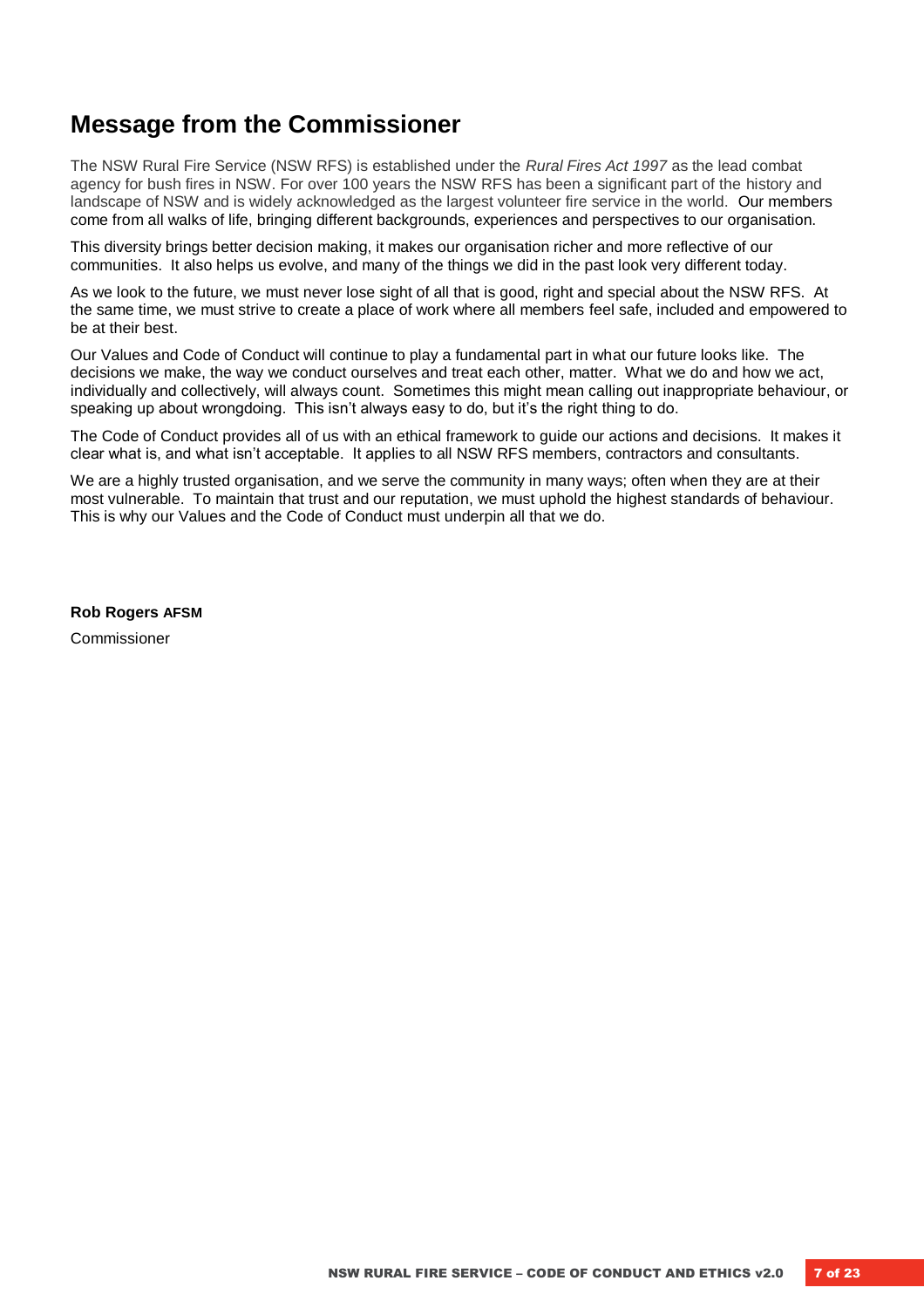### <span id="page-6-0"></span>**Message from the Commissioner**

The NSW Rural Fire Service (NSW RFS) is established under the *Rural Fires Act 1997* as the lead combat agency for bush fires in NSW. For over 100 years the NSW RFS has been a significant part of the history and landscape of NSW and is widely acknowledged as the largest volunteer fire service in the world. Our members come from all walks of life, bringing different backgrounds, experiences and perspectives to our organisation.

This diversity brings better decision making, it makes our organisation richer and more reflective of our communities. It also helps us evolve, and many of the things we did in the past look very different today.

As we look to the future, we must never lose sight of all that is good, right and special about the NSW RFS. At the same time, we must strive to create a place of work where all members feel safe, included and empowered to be at their best.

Our Values and Code of Conduct will continue to play a fundamental part in what our future looks like. The decisions we make, the way we conduct ourselves and treat each other, matter. What we do and how we act, individually and collectively, will always count. Sometimes this might mean calling out inappropriate behaviour, or speaking up about wrongdoing. This isn't always easy to do, but it's the right thing to do.

The Code of Conduct provides all of us with an ethical framework to guide our actions and decisions. It makes it clear what is, and what isn't acceptable. It applies to all NSW RFS members, contractors and consultants.

We are a highly trusted organisation, and we serve the community in many ways; often when they are at their most vulnerable. To maintain that trust and our reputation, we must uphold the highest standards of behaviour. This is why our Values and the Code of Conduct must underpin all that we do.

**Rob Rogers AFSM** Commissioner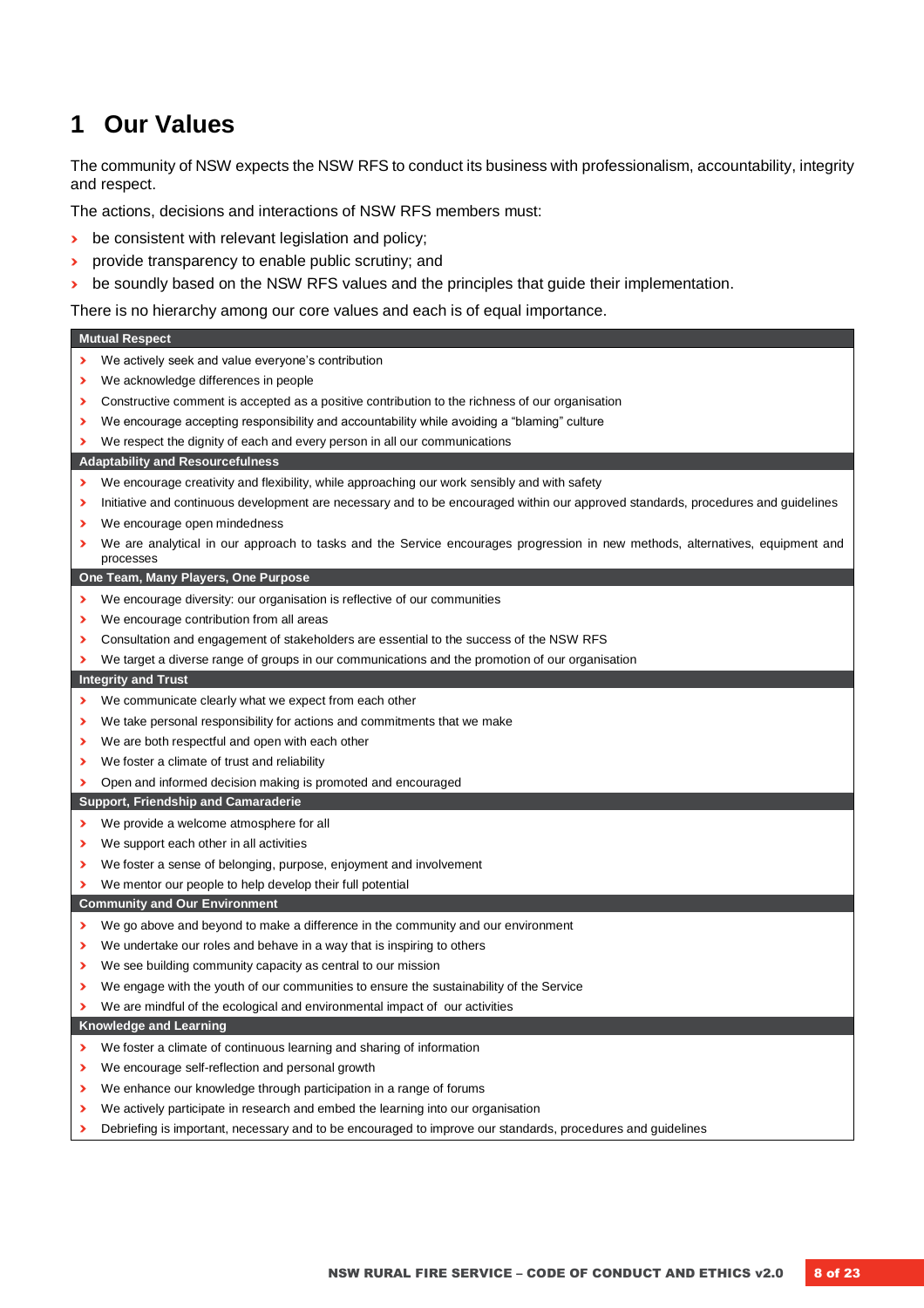# <span id="page-7-0"></span>**1 Our Values**

The community of NSW expects the NSW RFS to conduct its business with professionalism, accountability, integrity and respect.

The actions, decisions and interactions of NSW RFS members must:

- **›** be consistent with relevant legislation and policy;
- **›** provide transparency to enable public scrutiny; and
- $\rightarrow$  be soundly based on the NSW RFS values and the principles that guide their implementation.

There is no hierarchy among our core values and each is of equal importance.

|   | <b>Mutual Respect</b>                                                                                                                      |
|---|--------------------------------------------------------------------------------------------------------------------------------------------|
| ⋗ | We actively seek and value everyone's contribution                                                                                         |
| ⋗ | We acknowledge differences in people                                                                                                       |
| ⋗ | Constructive comment is accepted as a positive contribution to the richness of our organisation                                            |
| ⋗ | We encourage accepting responsibility and accountability while avoiding a "blaming" culture                                                |
| ⋗ | We respect the dignity of each and every person in all our communications                                                                  |
|   | <b>Adaptability and Resourcefulness</b>                                                                                                    |
| ⋗ | We encourage creativity and flexibility, while approaching our work sensibly and with safety                                               |
| ⋗ | Initiative and continuous development are necessary and to be encouraged within our approved standards, procedures and guidelines          |
| ⋗ | We encourage open mindedness                                                                                                               |
| ⋗ | We are analytical in our approach to tasks and the Service encourages progression in new methods, alternatives, equipment and<br>processes |
|   | One Team, Many Players, One Purpose                                                                                                        |
| ⋗ | We encourage diversity: our organisation is reflective of our communities                                                                  |
| ⋗ | We encourage contribution from all areas                                                                                                   |
| ⋗ | Consultation and engagement of stakeholders are essential to the success of the NSW RFS                                                    |
| ⋗ | We target a diverse range of groups in our communications and the promotion of our organisation                                            |
|   | <b>Integrity and Trust</b>                                                                                                                 |
| ⋗ | We communicate clearly what we expect from each other                                                                                      |
| ⋗ | We take personal responsibility for actions and commitments that we make                                                                   |
| ⋗ | We are both respectful and open with each other                                                                                            |
| ⋗ | We foster a climate of trust and reliability                                                                                               |
| ⋗ | Open and informed decision making is promoted and encouraged                                                                               |
|   | <b>Support, Friendship and Camaraderie</b>                                                                                                 |
| ⋗ | We provide a welcome atmosphere for all                                                                                                    |
| ⋗ | We support each other in all activities                                                                                                    |
| ⋗ | We foster a sense of belonging, purpose, enjoyment and involvement                                                                         |
| ⋗ | We mentor our people to help develop their full potential                                                                                  |
|   | <b>Community and Our Environment</b>                                                                                                       |
| ⋗ | We go above and beyond to make a difference in the community and our environment                                                           |
| ⋗ | We undertake our roles and behave in a way that is inspiring to others                                                                     |
| ⋗ | We see building community capacity as central to our mission                                                                               |
| ⋗ | We engage with the youth of our communities to ensure the sustainability of the Service                                                    |
| ⋗ | We are mindful of the ecological and environmental impact of our activities                                                                |
|   | <b>Knowledge and Learning</b>                                                                                                              |
| ⋗ | We foster a climate of continuous learning and sharing of information                                                                      |
| ⋗ | We encourage self-reflection and personal growth                                                                                           |
| ⋗ | We enhance our knowledge through participation in a range of forums                                                                        |
| ⋗ | We actively participate in research and embed the learning into our organisation                                                           |
| ⋗ | Debriefing is important, necessary and to be encouraged to improve our standards, procedures and guidelines                                |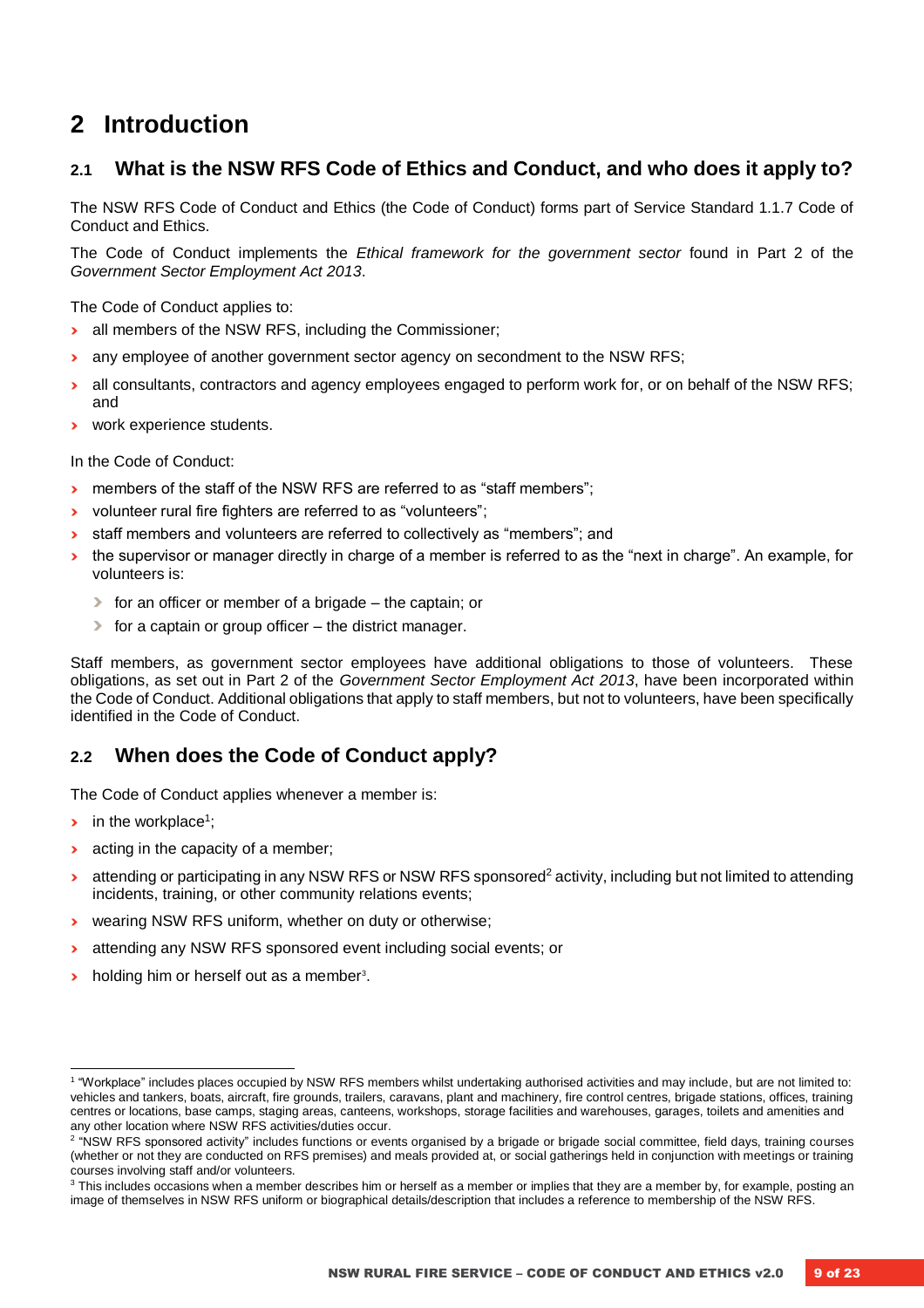# <span id="page-8-0"></span>**2 Introduction**

#### <span id="page-8-1"></span>**2.1 What is the NSW RFS Code of Ethics and Conduct, and who does it apply to?**

The NSW RFS Code of Conduct and Ethics (the Code of Conduct) forms part of Service Standard 1.1.7 Code of Conduct and Ethics.

The Code of Conduct implements the *Ethical framework for the government sector* found in Part 2 of the *Government Sector Employment Act 2013*.

The Code of Conduct applies to:

- **›** all members of the NSW RFS, including the Commissioner;
- **›** any employee of another government sector agency on secondment to the NSW RFS;
- **›** all consultants, contractors and agency employees engaged to perform work for, or on behalf of the NSW RFS; and
- **›** work experience students.

In the Code of Conduct:

- **›** members of the staff of the NSW RFS are referred to as "staff members";
- **›** volunteer rural fire fighters are referred to as "volunteers";
- **›** staff members and volunteers are referred to collectively as "members"; and
- **›** the supervisor or manager directly in charge of a member is referred to as the "next in charge". An example, for volunteers is:
	- **›** for an officer or member of a brigade the captain; or
	- **›** for a captain or group officer the district manager.

Staff members, as government sector employees have additional obligations to those of volunteers. These obligations, as set out in Part 2 of the *Government Sector Employment Act 2013*, have been incorporated within the Code of Conduct. Additional obligations that apply to staff members, but not to volunteers, have been specifically identified in the Code of Conduct.

#### <span id="page-8-2"></span>**2.2 When does the Code of Conduct apply?**

The Code of Conduct applies whenever a member is:

**•** in the workplace<sup>1</sup>;

l

- $\rightarrow$  acting in the capacity of a member;
- **EXECTED** attending or participating in any NSW RFS or NSW RFS sponsored<sup>2</sup> activity, including but not limited to attending incidents, training, or other community relations events;
- **›** wearing NSW RFS uniform, whether on duty or otherwise;
- **›** attending any NSW RFS sponsored event including social events; or
- **b** holding him or herself out as a member<sup>3</sup>.

<sup>&</sup>lt;sup>1</sup> "Workplace" includes places occupied by NSW RFS members whilst undertaking authorised activities and may include, but are not limited to: vehicles and tankers, boats, aircraft, fire grounds, trailers, caravans, plant and machinery, fire control centres, brigade stations, offices, training centres or locations, base camps, staging areas, canteens, workshops, storage facilities and warehouses, garages, toilets and amenities and any other location where NSW RFS activities/duties occur.

<sup>&</sup>lt;sup>2</sup> "NSW RFS sponsored activity" includes functions or events organised by a brigade or brigade social committee, field days, training courses (whether or not they are conducted on RFS premises) and meals provided at, or social gatherings held in conjunction with meetings or training courses involving staff and/or volunteers.

 $3$  This includes occasions when a member describes him or herself as a member or implies that they are a member by, for example, posting an image of themselves in NSW RFS uniform or biographical details/description that includes a reference to membership of the NSW RFS.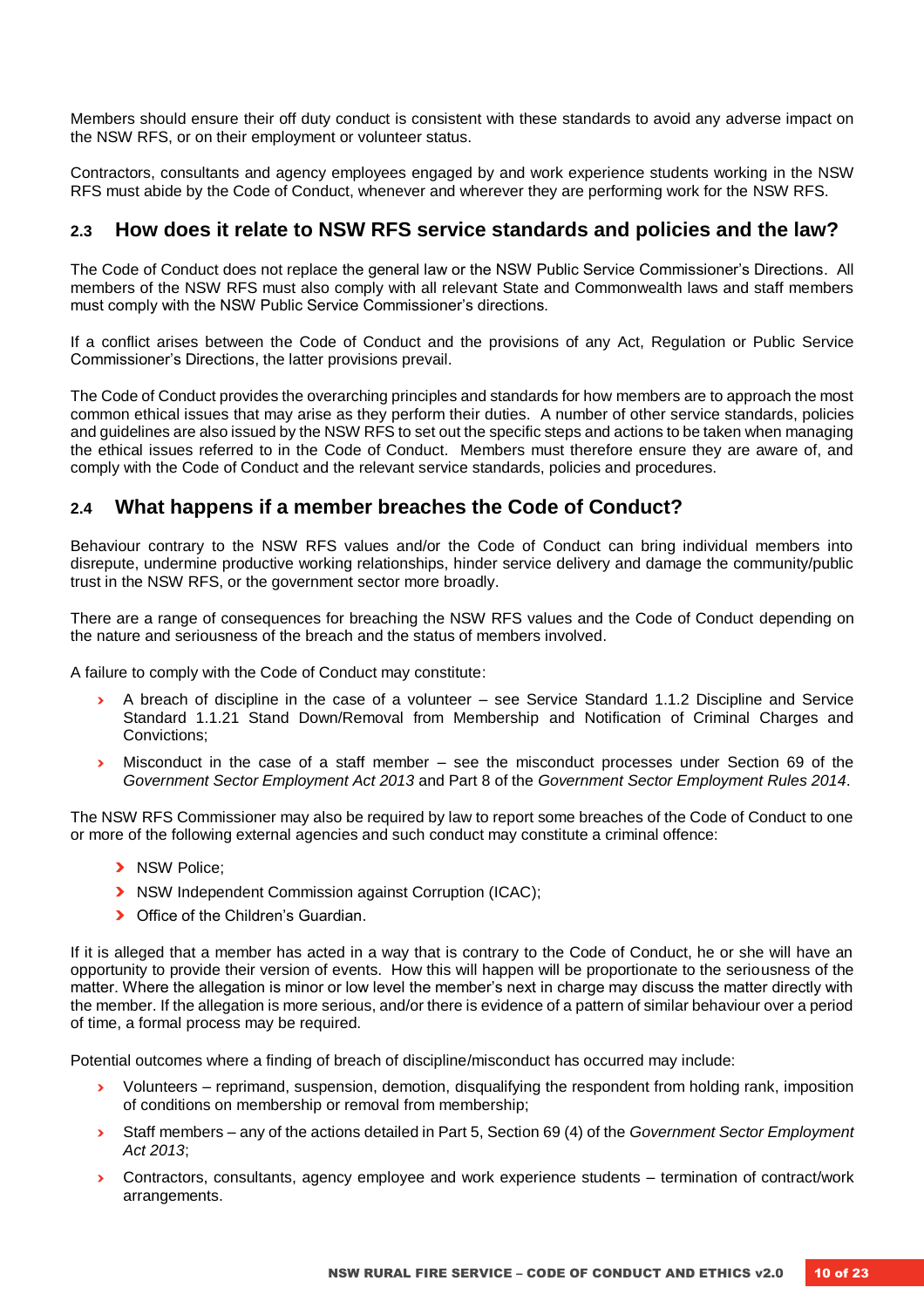Members should ensure their off duty conduct is consistent with these standards to avoid any adverse impact on the NSW RFS, or on their employment or volunteer status.

Contractors, consultants and agency employees engaged by and work experience students working in the NSW RFS must abide by the Code of Conduct, whenever and wherever they are performing work for the NSW RFS.

#### <span id="page-9-0"></span>**2.3 How does it relate to NSW RFS service standards and policies and the law?**

The Code of Conduct does not replace the general law or the NSW Public Service Commissioner's Directions. All members of the NSW RFS must also comply with all relevant State and Commonwealth laws and staff members must comply with the NSW Public Service Commissioner's directions.

If a conflict arises between the Code of Conduct and the provisions of any Act, Regulation or Public Service Commissioner's Directions, the latter provisions prevail.

The Code of Conduct provides the overarching principles and standards for how members are to approach the most common ethical issues that may arise as they perform their duties. A number of other service standards, policies and guidelines are also issued by the NSW RFS to set out the specific steps and actions to be taken when managing the ethical issues referred to in the Code of Conduct. Members must therefore ensure they are aware of, and comply with the Code of Conduct and the relevant service standards, policies and procedures.

#### <span id="page-9-1"></span>**2.4 What happens if a member breaches the Code of Conduct?**

Behaviour contrary to the NSW RFS values and/or the Code of Conduct can bring individual members into disrepute, undermine productive working relationships, hinder service delivery and damage the community/public trust in the NSW RFS, or the government sector more broadly.

There are a range of consequences for breaching the NSW RFS values and the Code of Conduct depending on the nature and seriousness of the breach and the status of members involved.

A failure to comply with the Code of Conduct may constitute:

- **›** A breach of discipline in the case of a volunteer see Service Standard 1.1.2 Discipline and Service Standard 1.1.21 Stand Down/Removal from Membership and Notification of Criminal Charges and Convictions;
- **›** Misconduct in the case of a staff member see the misconduct processes under Section 69 of the *Government Sector Employment Act 2013* and Part 8 of the *Government Sector Employment Rules 2014*.

The NSW RFS Commissioner may also be required by law to report some breaches of the Code of Conduct to one or more of the following external agencies and such conduct may constitute a criminal offence:

- **›** NSW Police;
- **›** NSW Independent Commission against Corruption (ICAC);
- **›** Office of the Children's Guardian.

If it is alleged that a member has acted in a way that is contrary to the Code of Conduct, he or she will have an opportunity to provide their version of events. How this will happen will be proportionate to the seriousness of the matter. Where the allegation is minor or low level the member's next in charge may discuss the matter directly with the member. If the allegation is more serious, and/or there is evidence of a pattern of similar behaviour over a period of time, a formal process may be required.

Potential outcomes where a finding of breach of discipline/misconduct has occurred may include:

- **›** Volunteers reprimand, suspension, demotion, disqualifying the respondent from holding rank, imposition of conditions on membership or removal from membership;
- **›** Staff members any of the actions detailed in Part 5, Section 69 (4) of the *Government Sector Employment Act 2013*;
- **›** Contractors, consultants, agency employee and work experience students termination of contract/work arrangements.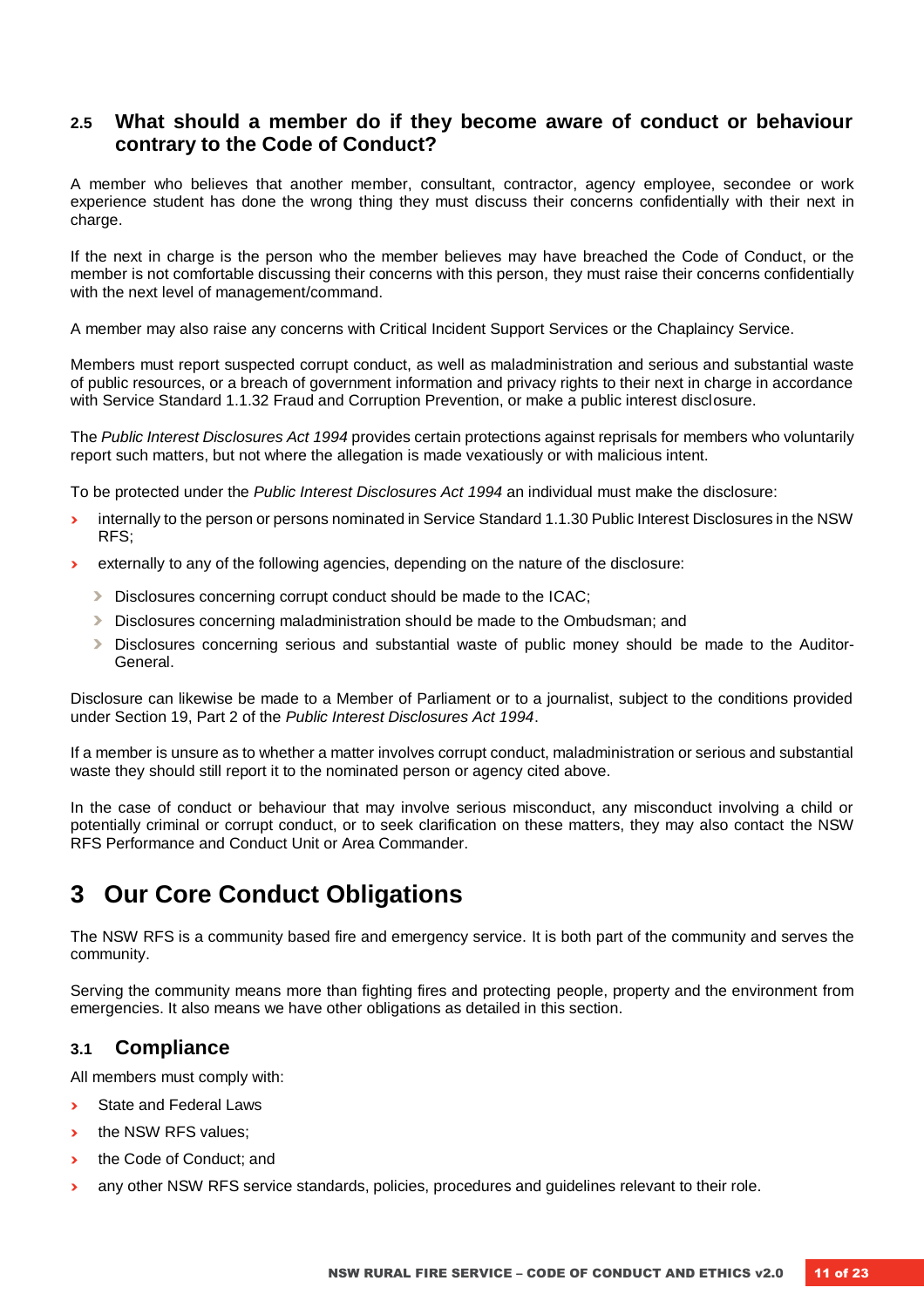#### <span id="page-10-0"></span>**2.5 What should a member do if they become aware of conduct or behaviour contrary to the Code of Conduct?**

A member who believes that another member, consultant, contractor, agency employee, secondee or work experience student has done the wrong thing they must discuss their concerns confidentially with their next in charge.

If the next in charge is the person who the member believes may have breached the Code of Conduct, or the member is not comfortable discussing their concerns with this person, they must raise their concerns confidentially with the next level of management/command.

A member may also raise any concerns with Critical Incident Support Services or the Chaplaincy Service.

Members must report suspected corrupt conduct, as well as maladministration and serious and substantial waste of public resources, or a breach of government information and privacy rights to their next in charge in accordance with Service Standard 1.1.32 Fraud and Corruption Prevention, or make a public interest disclosure.

The *Public Interest Disclosures Act 1994* provides certain protections against reprisals for members who voluntarily report such matters, but not where the allegation is made vexatiously or with malicious intent.

To be protected under the *Public Interest Disclosures Act 1994* an individual must make the disclosure:

- **›** internally to the person or persons nominated in Service Standard 1.1.30 Public Interest Disclosures in the NSW RFS;
- **›** externally to any of the following agencies, depending on the nature of the disclosure:
	- **›** Disclosures concerning corrupt conduct should be made to the ICAC;
	- **›** Disclosures concerning maladministration should be made to the Ombudsman; and
	- **›** Disclosures concerning serious and substantial waste of public money should be made to the Auditor-General.

Disclosure can likewise be made to a Member of Parliament or to a journalist, subject to the conditions provided under Section 19, Part 2 of the *Public Interest Disclosures Act 1994*.

If a member is unsure as to whether a matter involves corrupt conduct, maladministration or serious and substantial waste they should still report it to the nominated person or agency cited above.

In the case of conduct or behaviour that may involve serious misconduct, any misconduct involving a child or potentially criminal or corrupt conduct, or to seek clarification on these matters, they may also contact the NSW RFS Performance and Conduct Unit or Area Commander.

### <span id="page-10-1"></span>**3 Our Core Conduct Obligations**

The NSW RFS is a community based fire and emergency service. It is both part of the community and serves the community.

Serving the community means more than fighting fires and protecting people, property and the environment from emergencies. It also means we have other obligations as detailed in this section.

#### <span id="page-10-2"></span>**3.1 Compliance**

All members must comply with:

- **›** State and Federal Laws
- **›** the NSW RFS values;
- **›** the Code of Conduct; and
- **›** any other NSW RFS service standards, policies, procedures and guidelines relevant to their role.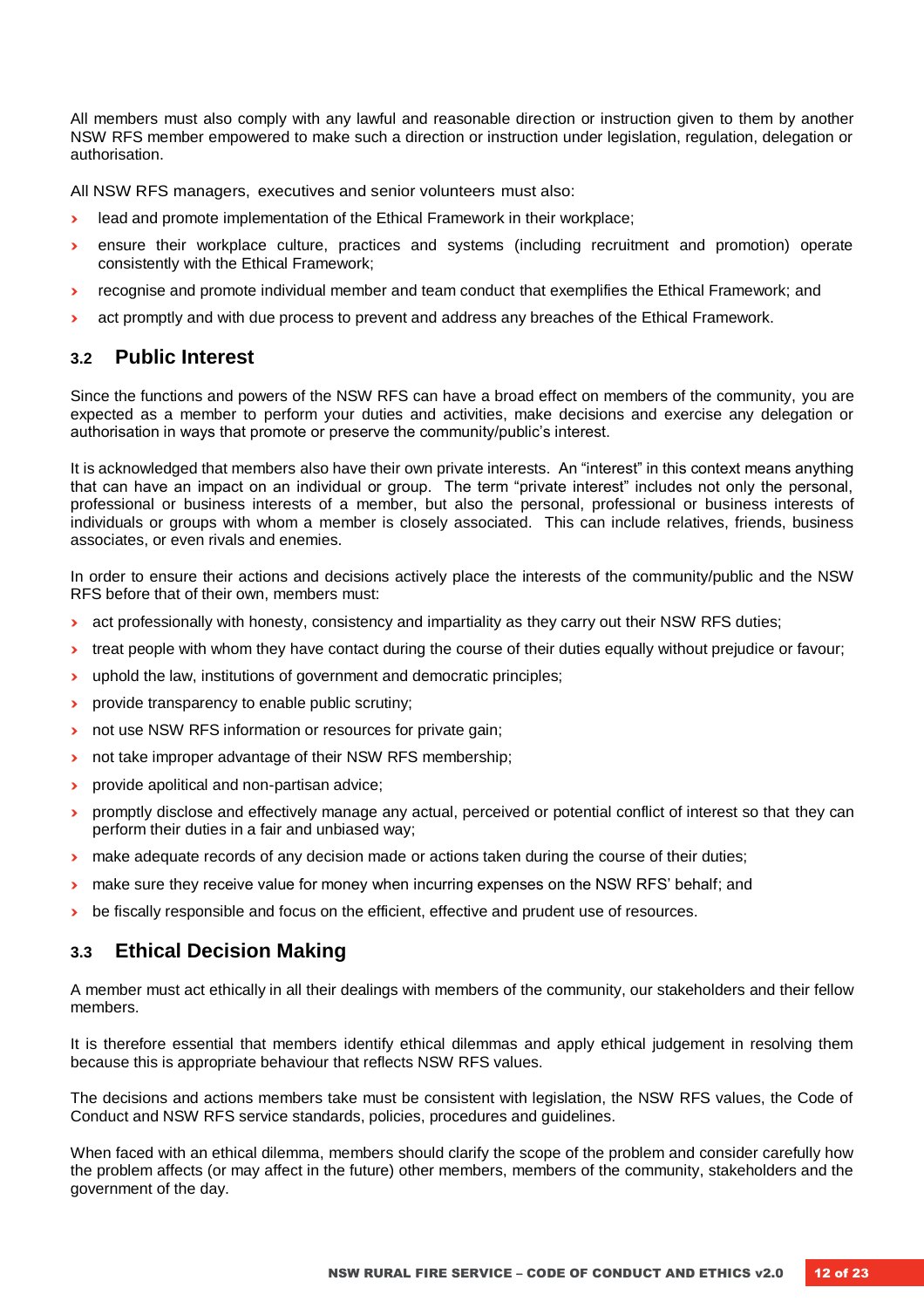All members must also comply with any lawful and reasonable direction or instruction given to them by another NSW RFS member empowered to make such a direction or instruction under legislation, regulation, delegation or authorisation.

All NSW RFS managers, executives and senior volunteers must also:

- **›** lead and promote implementation of the Ethical Framework in their workplace;
- **›** ensure their workplace culture, practices and systems (including recruitment and promotion) operate consistently with the Ethical Framework;
- **›** recognise and promote individual member and team conduct that exemplifies the Ethical Framework; and
- **›** act promptly and with due process to prevent and address any breaches of the Ethical Framework.

#### <span id="page-11-0"></span>**3.2 Public Interest**

Since the functions and powers of the NSW RFS can have a broad effect on members of the community, you are expected as a member to perform your duties and activities, make decisions and exercise any delegation or authorisation in ways that promote or preserve the community/public's interest.

It is acknowledged that members also have their own private interests. An "interest" in this context means anything that can have an impact on an individual or group. The term "private interest" includes not only the personal, professional or business interests of a member, but also the personal, professional or business interests of individuals or groups with whom a member is closely associated. This can include relatives, friends, business associates, or even rivals and enemies.

In order to ensure their actions and decisions actively place the interests of the community/public and the NSW RFS before that of their own, members must:

- **a** act professionally with honesty, consistency and impartiality as they carry out their NSW RFS duties;
- **›** treat people with whom they have contact during the course of their duties equally without prejudice or favour;
- **›** uphold the law, institutions of government and democratic principles;
- **•** provide transparency to enable public scrutiny;
- not use NSW RFS information or resources for private gain;
- **›** not take improper advantage of their NSW RFS membership;
- **›** provide apolitical and non-partisan advice;
- **›** promptly disclose and effectively manage any actual, perceived or potential conflict of interest so that they can perform their duties in a fair and unbiased way;
- **›** make adequate records of any decision made or actions taken during the course of their duties;
- **›** make sure they receive value for money when incurring expenses on the NSW RFS' behalf; and
- $\rightarrow$  be fiscally responsible and focus on the efficient, effective and prudent use of resources.

#### <span id="page-11-1"></span>**3.3 Ethical Decision Making**

A member must act ethically in all their dealings with members of the community, our stakeholders and their fellow members.

It is therefore essential that members identify ethical dilemmas and apply ethical judgement in resolving them because this is appropriate behaviour that reflects NSW RFS values.

The decisions and actions members take must be consistent with legislation, the NSW RFS values, the Code of Conduct and NSW RFS service standards, policies, procedures and guidelines.

When faced with an ethical dilemma, members should clarify the scope of the problem and consider carefully how the problem affects (or may affect in the future) other members, members of the community, stakeholders and the government of the day.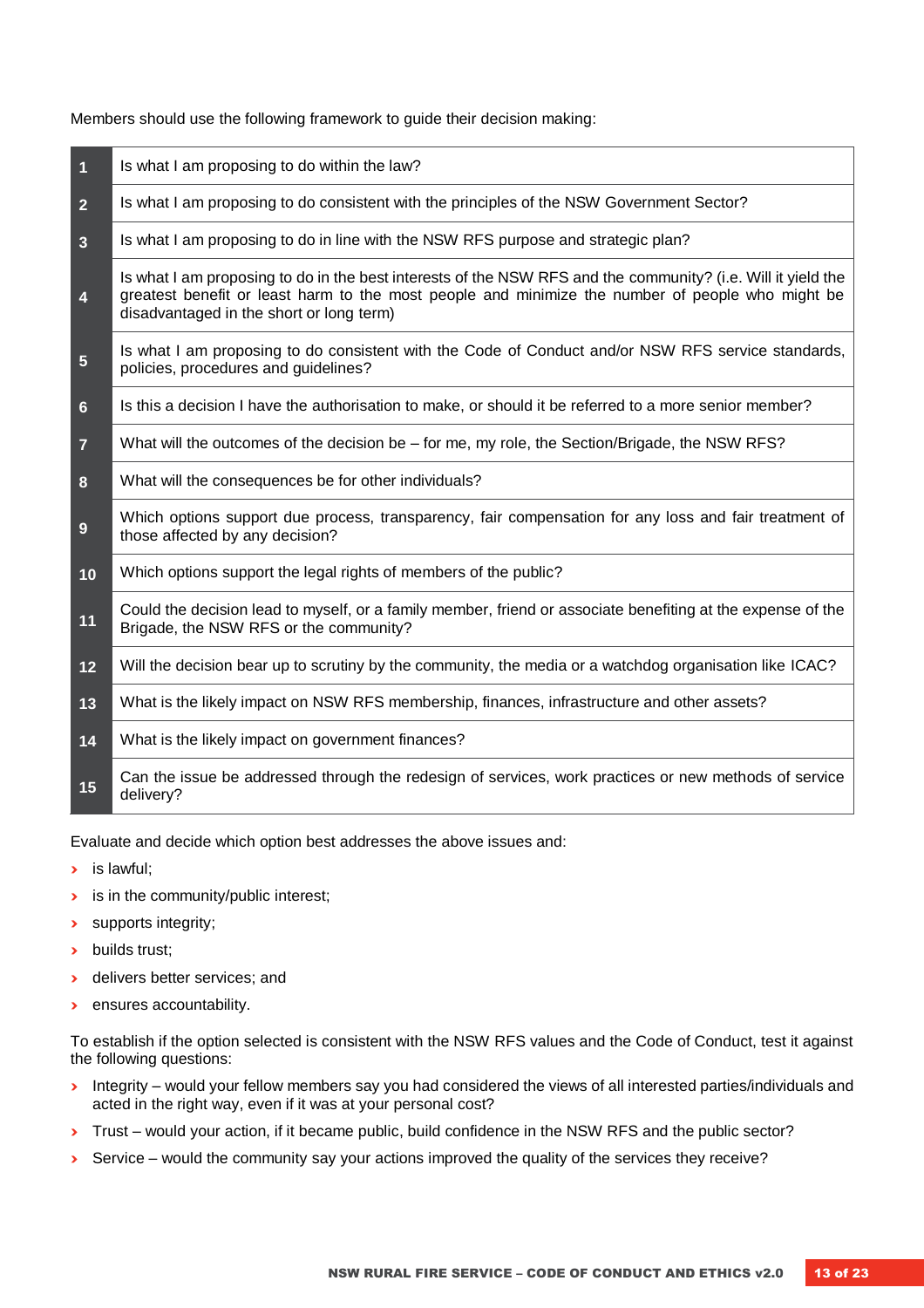Members should use the following framework to guide their decision making:

| $\overline{\mathbf{1}}$ | Is what I am proposing to do within the law?                                                                                                                                                                                                                 |
|-------------------------|--------------------------------------------------------------------------------------------------------------------------------------------------------------------------------------------------------------------------------------------------------------|
| $\overline{2}$          | Is what I am proposing to do consistent with the principles of the NSW Government Sector?                                                                                                                                                                    |
| $\overline{3}$          | Is what I am proposing to do in line with the NSW RFS purpose and strategic plan?                                                                                                                                                                            |
| $\overline{\mathbf{4}}$ | Is what I am proposing to do in the best interests of the NSW RFS and the community? (i.e. Will it yield the<br>greatest benefit or least harm to the most people and minimize the number of people who might be<br>disadvantaged in the short or long term) |
| $\sqrt{5}$              | Is what I am proposing to do consistent with the Code of Conduct and/or NSW RFS service standards,<br>policies, procedures and guidelines?                                                                                                                   |
| 6                       | Is this a decision I have the authorisation to make, or should it be referred to a more senior member?                                                                                                                                                       |
| $\overline{7}$          | What will the outcomes of the decision be – for me, my role, the Section/Brigade, the NSW RFS?                                                                                                                                                               |
| 8                       | What will the consequences be for other individuals?                                                                                                                                                                                                         |
| 9                       | Which options support due process, transparency, fair compensation for any loss and fair treatment of<br>those affected by any decision?                                                                                                                     |
| 10                      | Which options support the legal rights of members of the public?                                                                                                                                                                                             |
| 11                      | Could the decision lead to myself, or a family member, friend or associate benefiting at the expense of the<br>Brigade, the NSW RFS or the community?                                                                                                        |
| 12                      | Will the decision bear up to scrutiny by the community, the media or a watchdog organisation like ICAC?                                                                                                                                                      |
| 13                      | What is the likely impact on NSW RFS membership, finances, infrastructure and other assets?                                                                                                                                                                  |
| 14                      | What is the likely impact on government finances?                                                                                                                                                                                                            |
| 15                      | Can the issue be addressed through the redesign of services, work practices or new methods of service<br>delivery?                                                                                                                                           |

Evaluate and decide which option best addresses the above issues and:

- **›** is lawful;
- **›** is in the community/public interest;
- **›** supports integrity;
- **›** builds trust;
- **›** delivers better services; and
- **›** ensures accountability.

To establish if the option selected is consistent with the NSW RFS values and the Code of Conduct, test it against the following questions:

- **›** Integrity would your fellow members say you had considered the views of all interested parties/individuals and acted in the right way, even if it was at your personal cost?
- **›** Trust would your action, if it became public, build confidence in the NSW RFS and the public sector?
- **›** Service would the community say your actions improved the quality of the services they receive?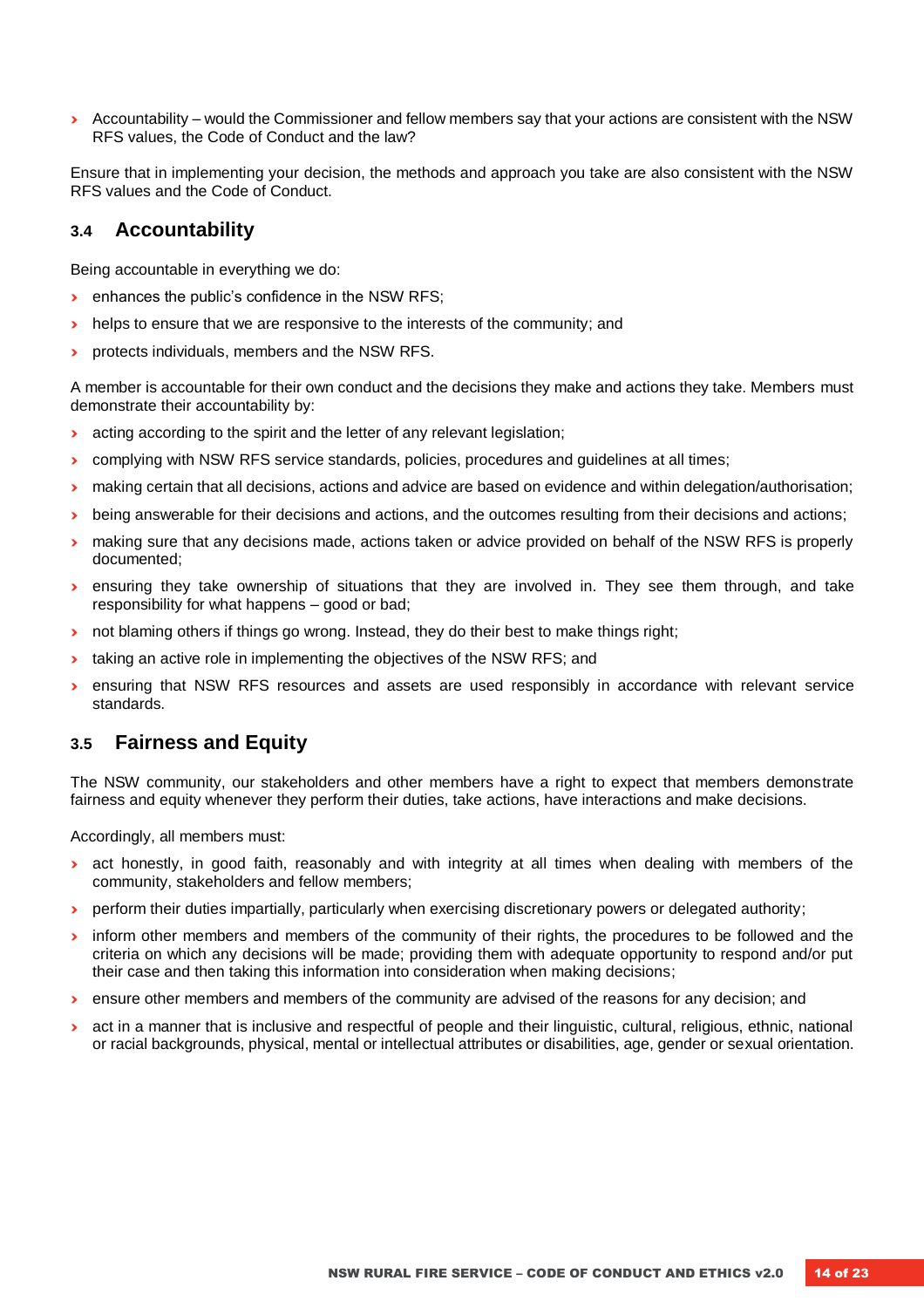**›** Accountability – would the Commissioner and fellow members say that your actions are consistent with the NSW RFS values, the Code of Conduct and the law?

Ensure that in implementing your decision, the methods and approach you take are also consistent with the NSW RFS values and the Code of Conduct.

#### <span id="page-13-0"></span>**3.4 Accountability**

Being accountable in everything we do:

- **•** enhances the public's confidence in the NSW RFS;
- **I** helps to ensure that we are responsive to the interests of the community; and
- **•** protects individuals, members and the NSW RFS.

A member is accountable for their own conduct and the decisions they make and actions they take. Members must demonstrate their accountability by:

- **›** acting according to the spirit and the letter of any relevant legislation;
- **›** complying with NSW RFS service standards, policies, procedures and guidelines at all times;
- **›** making certain that all decisions, actions and advice are based on evidence and within delegation/authorisation;
- **›** being answerable for their decisions and actions, and the outcomes resulting from their decisions and actions;
- **›** making sure that any decisions made, actions taken or advice provided on behalf of the NSW RFS is properly documented;
- **›** ensuring they take ownership of situations that they are involved in. They see them through, and take responsibility for what happens – good or bad;
- **›** not blaming others if things go wrong. Instead, they do their best to make things right;
- **›** taking an active role in implementing the objectives of the NSW RFS; and
- **›** ensuring that NSW RFS resources and assets are used responsibly in accordance with relevant service standards.

#### <span id="page-13-1"></span>**3.5 Fairness and Equity**

The NSW community, our stakeholders and other members have a right to expect that members demonstrate fairness and equity whenever they perform their duties, take actions, have interactions and make decisions.

Accordingly, all members must:

- **›** act honestly, in good faith, reasonably and with integrity at all times when dealing with members of the community, stakeholders and fellow members;
- **›** perform their duties impartially, particularly when exercising discretionary powers or delegated authority;
- **I** inform other members and members of the community of their rights, the procedures to be followed and the criteria on which any decisions will be made; providing them with adequate opportunity to respond and/or put their case and then taking this information into consideration when making decisions;
- **›** ensure other members and members of the community are advised of the reasons for any decision; and
- **a** act in a manner that is inclusive and respectful of people and their linguistic, cultural, religious, ethnic, national or racial backgrounds, physical, mental or intellectual attributes or disabilities, age, gender or sexual orientation.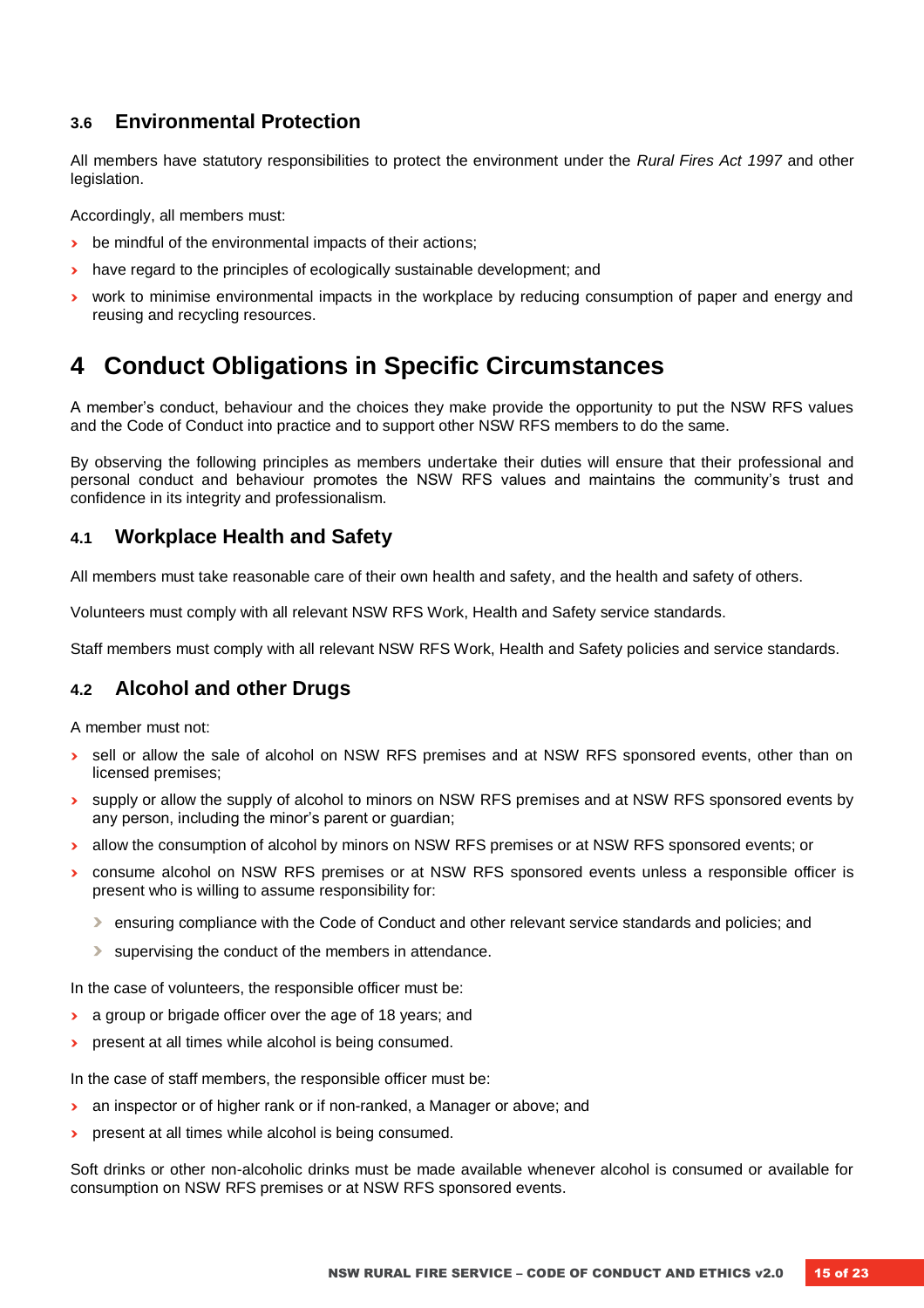#### <span id="page-14-0"></span>**3.6 Environmental Protection**

All members have statutory responsibilities to protect the environment under the *Rural Fires Act 1997* and other legislation.

Accordingly, all members must:

- **›** be mindful of the environmental impacts of their actions;
- **›** have regard to the principles of ecologically sustainable development; and
- **›** work to minimise environmental impacts in the workplace by reducing consumption of paper and energy and reusing and recycling resources.

### <span id="page-14-1"></span>**4 Conduct Obligations in Specific Circumstances**

A member's conduct, behaviour and the choices they make provide the opportunity to put the NSW RFS values and the Code of Conduct into practice and to support other NSW RFS members to do the same.

By observing the following principles as members undertake their duties will ensure that their professional and personal conduct and behaviour promotes the NSW RFS values and maintains the community's trust and confidence in its integrity and professionalism.

#### <span id="page-14-2"></span>**4.1 Workplace Health and Safety**

All members must take reasonable care of their own health and safety, and the health and safety of others.

Volunteers must comply with all relevant NSW RFS Work, Health and Safety service standards.

Staff members must comply with all relevant NSW RFS Work, Health and Safety policies and service standards.

#### <span id="page-14-3"></span>**4.2 Alcohol and other Drugs**

A member must not:

- **›** sell or allow the sale of alcohol on NSW RFS premises and at NSW RFS sponsored events, other than on licensed premises;
- **›** supply or allow the supply of alcohol to minors on NSW RFS premises and at NSW RFS sponsored events by any person, including the minor's parent or guardian;
- **›** allow the consumption of alcohol by minors on NSW RFS premises or at NSW RFS sponsored events; or
- **›** consume alcohol on NSW RFS premises or at NSW RFS sponsored events unless a responsible officer is present who is willing to assume responsibility for:
	- **›** ensuring compliance with the Code of Conduct and other relevant service standards and policies; and
	- **›** supervising the conduct of the members in attendance.

In the case of volunteers, the responsible officer must be:

- **›** a group or brigade officer over the age of 18 years; and
- **›** present at all times while alcohol is being consumed.

In the case of staff members, the responsible officer must be:

- **›** an inspector or of higher rank or if non-ranked, a Manager or above; and
- **›** present at all times while alcohol is being consumed.

Soft drinks or other non-alcoholic drinks must be made available whenever alcohol is consumed or available for consumption on NSW RFS premises or at NSW RFS sponsored events.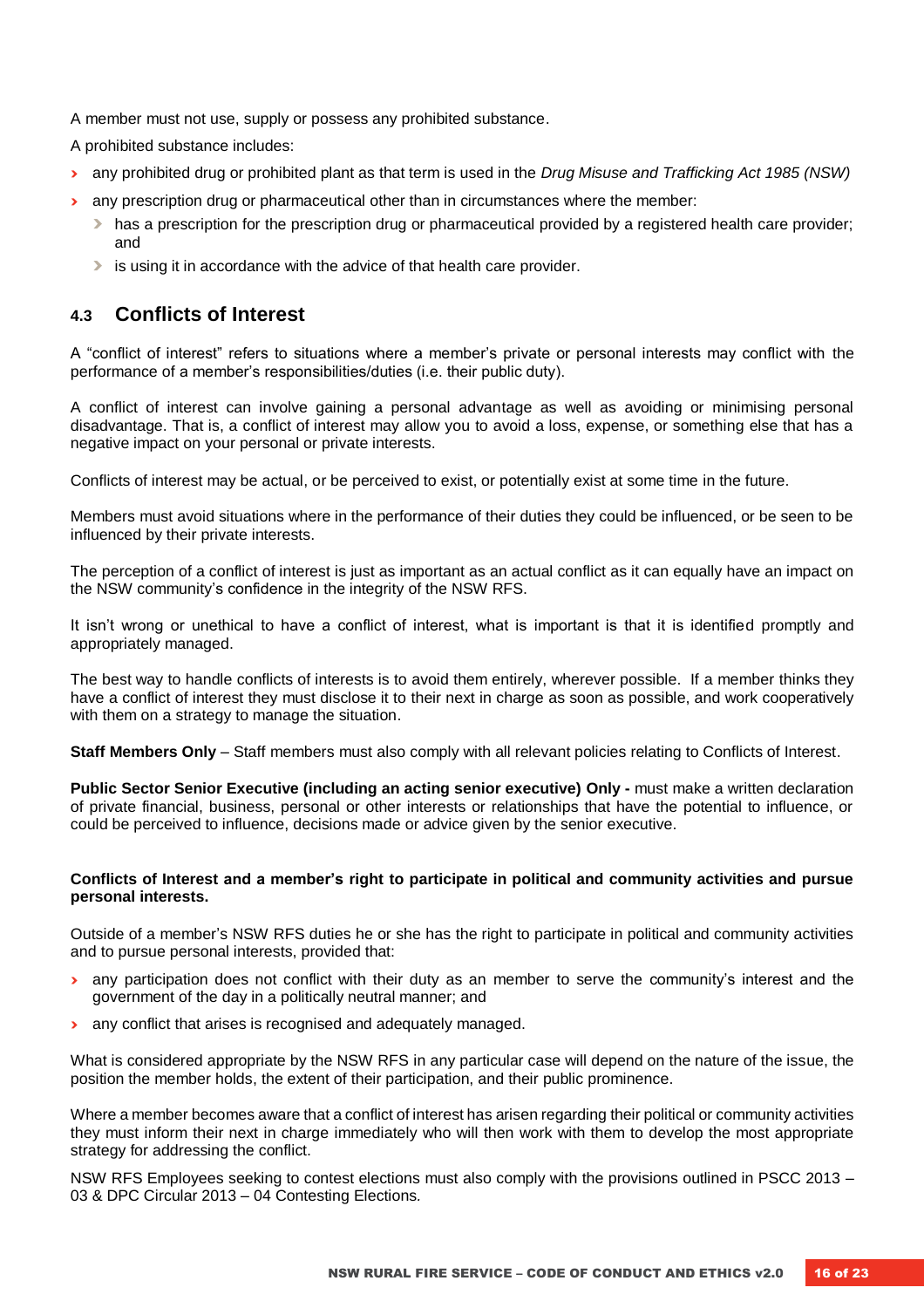A member must not use, supply or possess any prohibited substance.

A prohibited substance includes:

- **›** any prohibited drug or prohibited plant as that term is used in the *Drug Misuse and Trafficking Act 1985 (NSW)*
- **›** any prescription drug or pharmaceutical other than in circumstances where the member:
	- **›** has a prescription for the prescription drug or pharmaceutical provided by a registered health care provider; and
	- **›** is using it in accordance with the advice of that health care provider.

#### <span id="page-15-0"></span>**4.3 Conflicts of Interest**

A "conflict of interest" refers to situations where a member's private or personal interests may conflict with the performance of a member's responsibilities/duties (i.e. their public duty).

A conflict of interest can involve gaining a personal advantage as well as avoiding or minimising personal disadvantage. That is, a conflict of interest may allow you to avoid a loss, expense, or something else that has a negative impact on your personal or private interests.

Conflicts of interest may be actual, or be perceived to exist, or potentially exist at some time in the future.

Members must avoid situations where in the performance of their duties they could be influenced, or be seen to be influenced by their private interests.

The perception of a conflict of interest is just as important as an actual conflict as it can equally have an impact on the NSW community's confidence in the integrity of the NSW RFS.

It isn't wrong or unethical to have a conflict of interest, what is important is that it is identified promptly and appropriately managed.

The best way to handle conflicts of interests is to avoid them entirely, wherever possible. If a member thinks they have a conflict of interest they must disclose it to their next in charge as soon as possible, and work cooperatively with them on a strategy to manage the situation.

**Staff Members Only** – Staff members must also comply with all relevant policies relating to Conflicts of Interest.

**Public Sector Senior Executive (including an acting senior executive) Only -** must make a written declaration of private financial, business, personal or other interests or relationships that have the potential to influence, or could be perceived to influence, decisions made or advice given by the senior executive.

#### **Conflicts of Interest and a member's right to participate in political and community activities and pursue personal interests.**

Outside of a member's NSW RFS duties he or she has the right to participate in political and community activities and to pursue personal interests, provided that:

- **›** any participation does not conflict with their duty as an member to serve the community's interest and the government of the day in a politically neutral manner; and
- **›** any conflict that arises is recognised and adequately managed.

What is considered appropriate by the NSW RFS in any particular case will depend on the nature of the issue, the position the member holds, the extent of their participation, and their public prominence.

Where a member becomes aware that a conflict of interest has arisen regarding their political or community activities they must inform their next in charge immediately who will then work with them to develop the most appropriate strategy for addressing the conflict.

NSW RFS Employees seeking to contest elections must also comply with the provisions outlined in PSCC 2013 – 03 & DPC Circular 2013 – 04 Contesting Elections*.*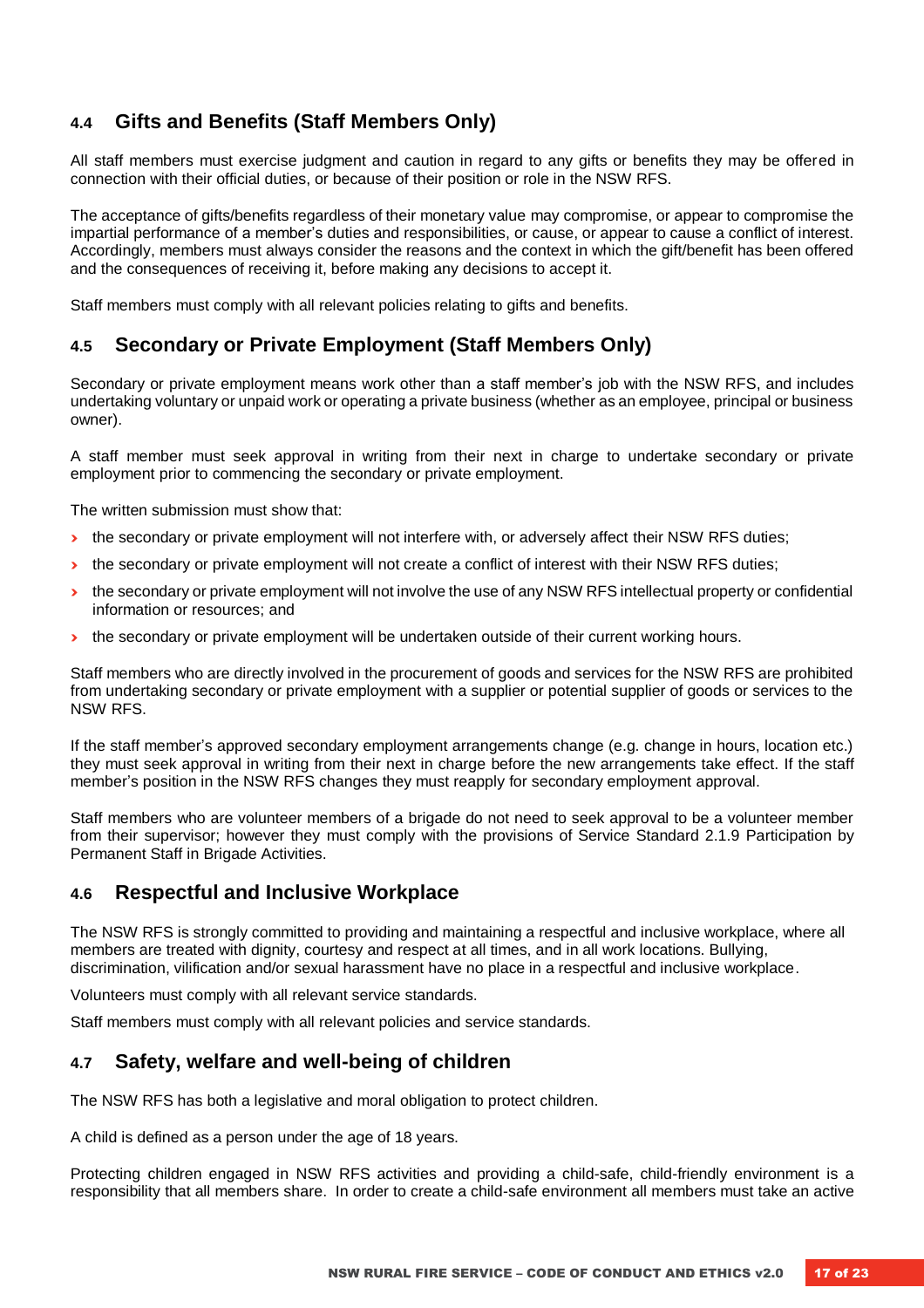#### <span id="page-16-0"></span>**4.4 Gifts and Benefits (Staff Members Only)**

All staff members must exercise judgment and caution in regard to any gifts or benefits they may be offered in connection with their official duties, or because of their position or role in the NSW RFS.

The acceptance of gifts/benefits regardless of their monetary value may compromise, or appear to compromise the impartial performance of a member's duties and responsibilities, or cause, or appear to cause a conflict of interest. Accordingly, members must always consider the reasons and the context in which the gift/benefit has been offered and the consequences of receiving it, before making any decisions to accept it.

Staff members must comply with all relevant policies relating to gifts and benefits.

#### <span id="page-16-1"></span>**4.5 Secondary or Private Employment (Staff Members Only)**

Secondary or private employment means work other than a staff member's job with the NSW RFS, and includes undertaking voluntary or unpaid work or operating a private business (whether as an employee, principal or business owner).

A staff member must seek approval in writing from their next in charge to undertake secondary or private employment prior to commencing the secondary or private employment.

The written submission must show that:

- **›** the secondary or private employment will not interfere with, or adversely affect their NSW RFS duties;
- **›** the secondary or private employment will not create a conflict of interest with their NSW RFS duties;
- **›** the secondary or private employment will not involve the use of any NSW RFS intellectual property or confidential information or resources; and
- **›** the secondary or private employment will be undertaken outside of their current working hours.

Staff members who are directly involved in the procurement of goods and services for the NSW RFS are prohibited from undertaking secondary or private employment with a supplier or potential supplier of goods or services to the NSW RFS.

If the staff member's approved secondary employment arrangements change (e.g. change in hours, location etc.) they must seek approval in writing from their next in charge before the new arrangements take effect. If the staff member's position in the NSW RFS changes they must reapply for secondary employment approval.

Staff members who are volunteer members of a brigade do not need to seek approval to be a volunteer member from their supervisor; however they must comply with the provisions of Service Standard 2.1.9 Participation by Permanent Staff in Brigade Activities.

#### <span id="page-16-2"></span>**4.6 Respectful and Inclusive Workplace**

The NSW RFS is strongly committed to providing and maintaining a respectful and inclusive workplace, where all members are treated with dignity, courtesy and respect at all times, and in all work locations. Bullying, discrimination, vilification and/or sexual harassment have no place in a respectful and inclusive workplace.

Volunteers must comply with all relevant service standards.

Staff members must comply with all relevant policies and service standards.

#### <span id="page-16-3"></span>**4.7 Safety, welfare and well-being of children**

The NSW RFS has both a legislative and moral obligation to protect children.

A child is defined as a person under the age of 18 years.

Protecting children engaged in NSW RFS activities and providing a child-safe, child-friendly environment is a responsibility that all members share. In order to create a child-safe environment all members must take an active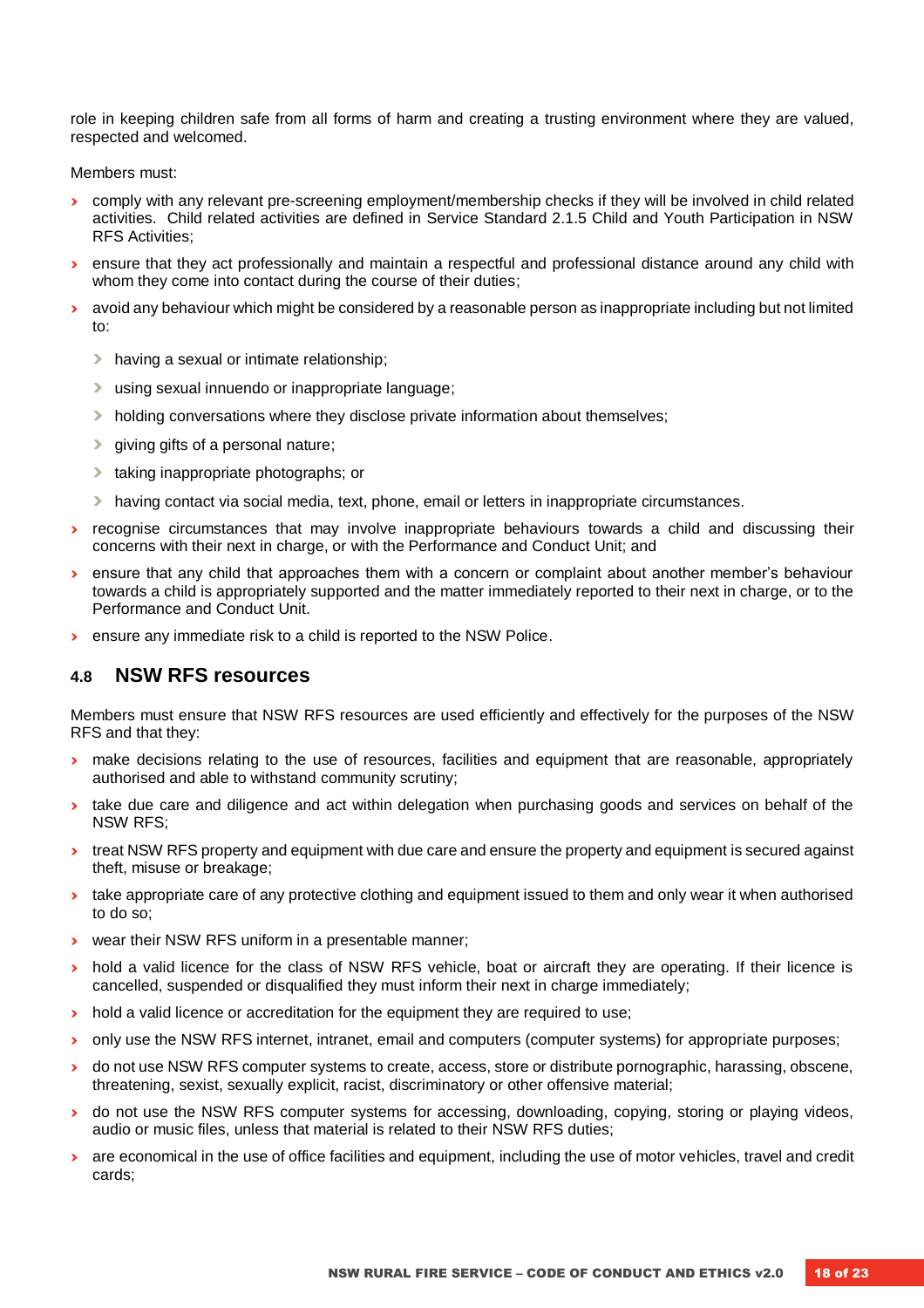role in keeping children safe from all forms of harm and creating a trusting environment where they are valued, respected and welcomed.

Members must:

- **›** comply with any relevant pre-screening employment/membership checks if they will be involved in child related activities. Child related activities are defined in Service Standard 2.1.5 Child and Youth Participation in NSW RFS Activities;
- **›** ensure that they act professionally and maintain a respectful and professional distance around any child with whom they come into contact during the course of their duties;
- **›** avoid any behaviour which might be considered by a reasonable person as inappropriate including but not limited to:
	- **›** having a sexual or intimate relationship;
	- **›** using sexual innuendo or inappropriate language;
	- **›** holding conversations where they disclose private information about themselves;
	- $\triangleright$  giving gifts of a personal nature;
	- **›** taking inappropriate photographs; or
	- **›** having contact via social media, text, phone, email or letters in inappropriate circumstances.
- **›** recognise circumstances that may involve inappropriate behaviours towards a child and discussing their concerns with their next in charge, or with the Performance and Conduct Unit; and
- **›** ensure that any child that approaches them with a concern or complaint about another member's behaviour towards a child is appropriately supported and the matter immediately reported to their next in charge, or to the Performance and Conduct Unit.
- **›** ensure any immediate risk to a child is reported to the NSW Police.

#### <span id="page-17-0"></span>**4.8 NSW RFS resources**

Members must ensure that NSW RFS resources are used efficiently and effectively for the purposes of the NSW RFS and that they:

- **›** make decisions relating to the use of resources, facilities and equipment that are reasonable, appropriately authorised and able to withstand community scrutiny;
- **›** take due care and diligence and act within delegation when purchasing goods and services on behalf of the NSW RFS;
- **›** treat NSW RFS property and equipment with due care and ensure the property and equipment is secured against theft, misuse or breakage;
- **›** take appropriate care of any protective clothing and equipment issued to them and only wear it when authorised to do so;
- **›** wear their NSW RFS uniform in a presentable manner;
- **›** hold a valid licence for the class of NSW RFS vehicle, boat or aircraft they are operating. If their licence is cancelled, suspended or disqualified they must inform their next in charge immediately;
- **›** hold a valid licence or accreditation for the equipment they are required to use;
- **›** only use the NSW RFS internet, intranet, email and computers (computer systems) for appropriate purposes;
- **›** do not use NSW RFS computer systems to create, access, store or distribute pornographic, harassing, obscene, threatening, sexist, sexually explicit, racist, discriminatory or other offensive material;
- **I** do not use the NSW RFS computer systems for accessing, downloading, copying, storing or playing videos, audio or music files, unless that material is related to their NSW RFS duties;
- **›** are economical in the use of office facilities and equipment, including the use of motor vehicles, travel and credit cards;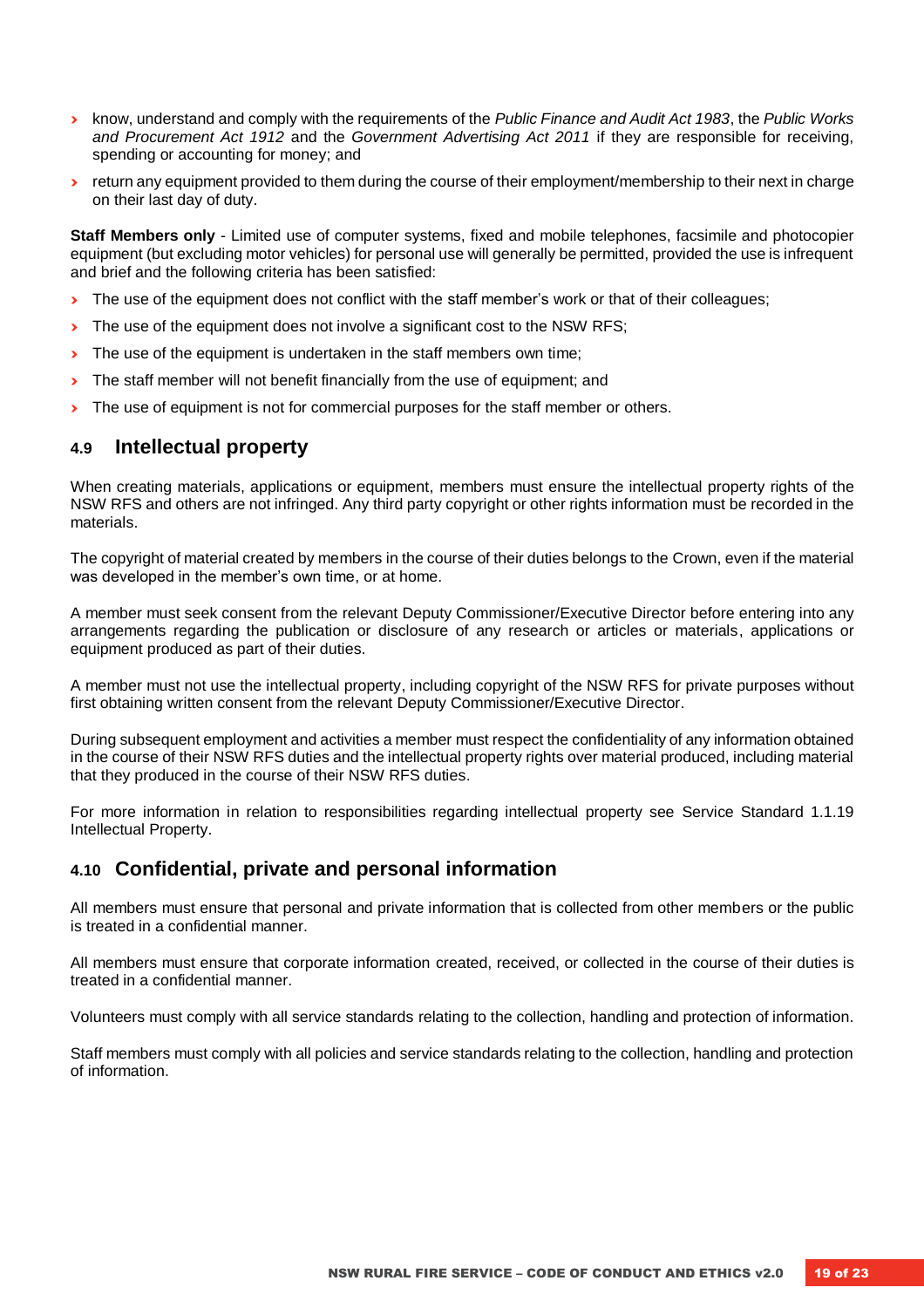- **›** know, understand and comply with the requirements of the *Public Finance and Audit Act 1983*, the *Public Works and Procurement Act 1912* and the *Government Advertising Act 2011* if they are responsible for receiving, spending or accounting for money; and
- **›** return any equipment provided to them during the course of their employment/membership to their next in charge on their last day of duty.

**Staff Members only** - Limited use of computer systems, fixed and mobile telephones, facsimile and photocopier equipment (but excluding motor vehicles) for personal use will generally be permitted, provided the use is infrequent and brief and the following criteria has been satisfied:

- **›** The use of the equipment does not conflict with the staff member's work or that of their colleagues;
- **›** The use of the equipment does not involve a significant cost to the NSW RFS;
- **I** The use of the equipment is undertaken in the staff members own time;
- **›** The staff member will not benefit financially from the use of equipment; and
- **I** The use of equipment is not for commercial purposes for the staff member or others.

#### <span id="page-18-0"></span>**4.9 Intellectual property**

When creating materials, applications or equipment, members must ensure the intellectual property rights of the NSW RFS and others are not infringed. Any third party copyright or other rights information must be recorded in the materials.

The copyright of material created by members in the course of their duties belongs to the Crown, even if the material was developed in the member's own time, or at home.

A member must seek consent from the relevant Deputy Commissioner/Executive Director before entering into any arrangements regarding the publication or disclosure of any research or articles or materials, applications or equipment produced as part of their duties.

A member must not use the intellectual property, including copyright of the NSW RFS for private purposes without first obtaining written consent from the relevant Deputy Commissioner/Executive Director.

During subsequent employment and activities a member must respect the confidentiality of any information obtained in the course of their NSW RFS duties and the intellectual property rights over material produced, including material that they produced in the course of their NSW RFS duties.

For more information in relation to responsibilities regarding intellectual property see Service Standard 1.1.19 Intellectual Property.

#### <span id="page-18-1"></span>**4.10 Confidential, private and personal information**

All members must ensure that personal and private information that is collected from other members or the public is treated in a confidential manner.

All members must ensure that corporate information created, received, or collected in the course of their duties is treated in a confidential manner.

Volunteers must comply with all service standards relating to the collection, handling and protection of information.

Staff members must comply with all policies and service standards relating to the collection, handling and protection of information.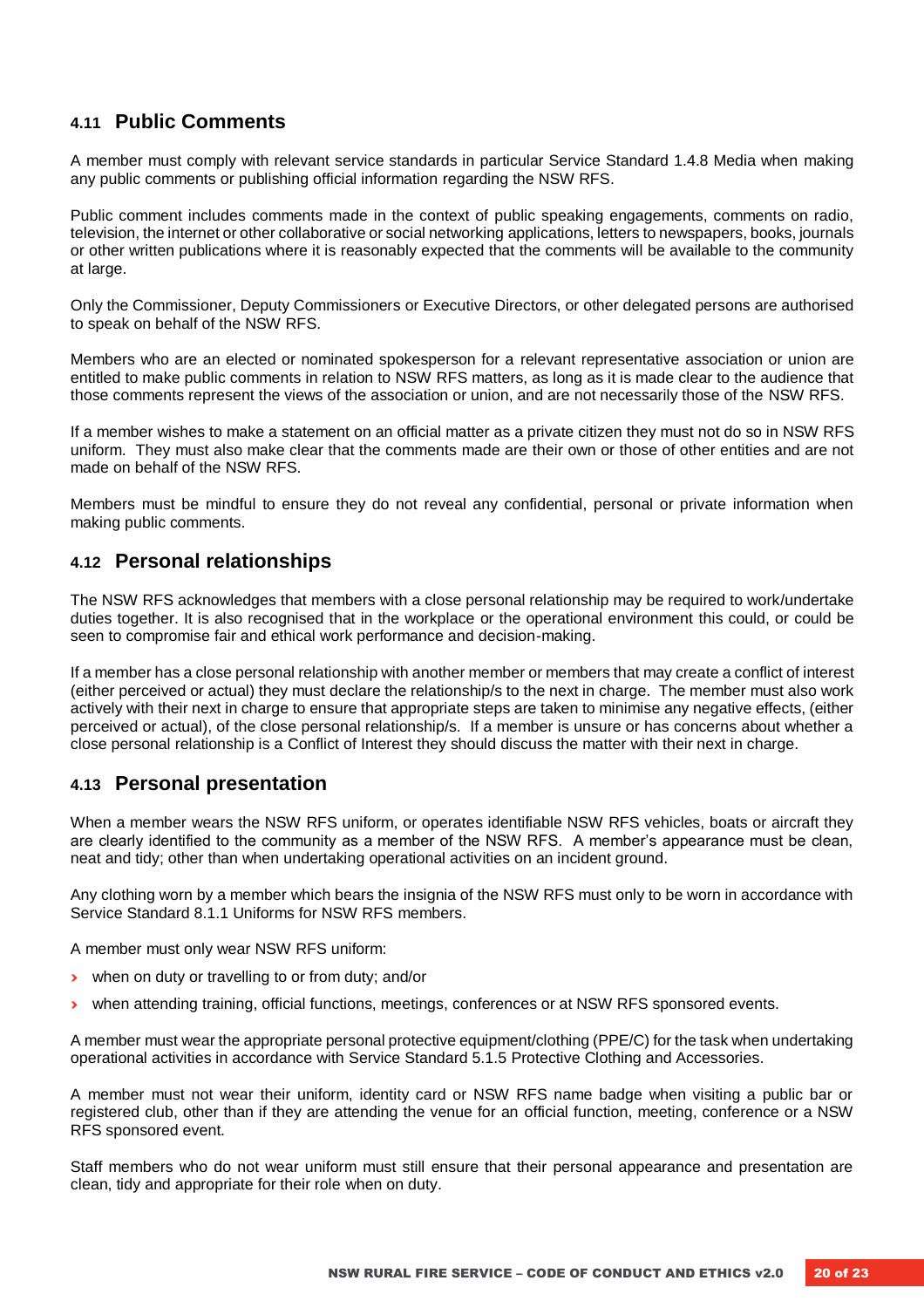#### <span id="page-19-0"></span>**4.11 Public Comments**

A member must comply with relevant service standards in particular Service Standard 1.4.8 Media when making any public comments or publishing official information regarding the NSW RFS.

Public comment includes comments made in the context of public speaking engagements, comments on radio, television, the internet or other collaborative or social networking applications, letters to newspapers, books, journals or other written publications where it is reasonably expected that the comments will be available to the community at large.

Only the Commissioner, Deputy Commissioners or Executive Directors, or other delegated persons are authorised to speak on behalf of the NSW RFS.

Members who are an elected or nominated spokesperson for a relevant representative association or union are entitled to make public comments in relation to NSW RFS matters, as long as it is made clear to the audience that those comments represent the views of the association or union, and are not necessarily those of the NSW RFS.

If a member wishes to make a statement on an official matter as a private citizen they must not do so in NSW RFS uniform. They must also make clear that the comments made are their own or those of other entities and are not made on behalf of the NSW RFS.

Members must be mindful to ensure they do not reveal any confidential, personal or private information when making public comments.

#### <span id="page-19-1"></span>**4.12 Personal relationships**

The NSW RFS acknowledges that members with a close personal relationship may be required to work/undertake duties together. It is also recognised that in the workplace or the operational environment this could, or could be seen to compromise fair and ethical work performance and decision-making.

If a member has a close personal relationship with another member or members that may create a conflict of interest (either perceived or actual) they must declare the relationship/s to the next in charge. The member must also work actively with their next in charge to ensure that appropriate steps are taken to minimise any negative effects, (either perceived or actual), of the close personal relationship/s. If a member is unsure or has concerns about whether a close personal relationship is a Conflict of Interest they should discuss the matter with their next in charge.

#### <span id="page-19-2"></span>**4.13 Personal presentation**

When a member wears the NSW RFS uniform, or operates identifiable NSW RFS vehicles, boats or aircraft they are clearly identified to the community as a member of the NSW RFS. A member's appearance must be clean, neat and tidy; other than when undertaking operational activities on an incident ground.

Any clothing worn by a member which bears the insignia of the NSW RFS must only to be worn in accordance with Service Standard 8.1.1 Uniforms for NSW RFS members.

A member must only wear NSW RFS uniform:

- **›** when on duty or travelling to or from duty; and/or
- **›** when attending training, official functions, meetings, conferences or at NSW RFS sponsored events.

A member must wear the appropriate personal protective equipment/clothing (PPE/C) for the task when undertaking operational activities in accordance with Service Standard 5.1.5 Protective Clothing and Accessories.

A member must not wear their uniform, identity card or NSW RFS name badge when visiting a public bar or registered club, other than if they are attending the venue for an official function, meeting, conference or a NSW RFS sponsored event.

Staff members who do not wear uniform must still ensure that their personal appearance and presentation are clean, tidy and appropriate for their role when on duty.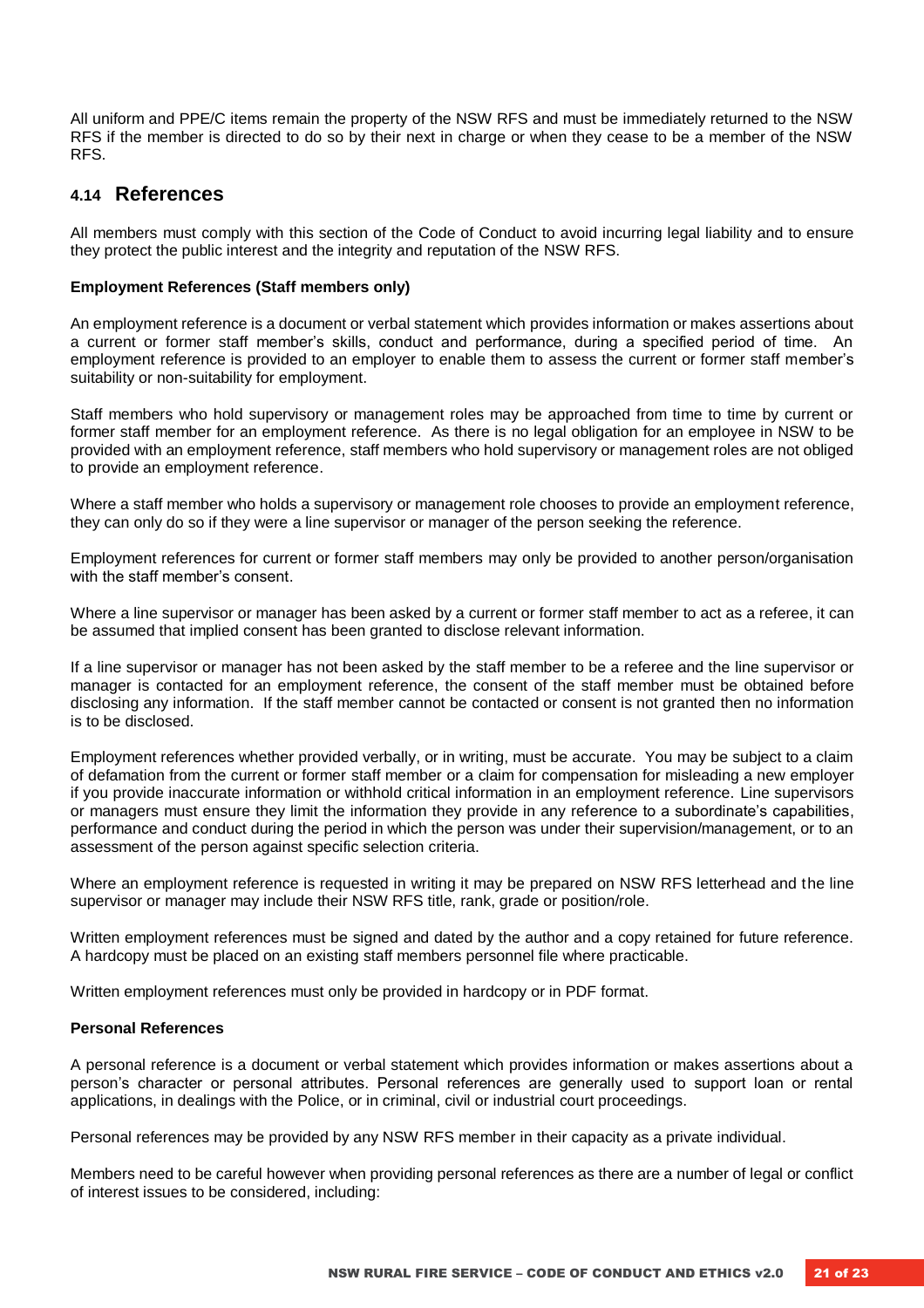All uniform and PPE/C items remain the property of the NSW RFS and must be immediately returned to the NSW RFS if the member is directed to do so by their next in charge or when they cease to be a member of the NSW RFS.

#### <span id="page-20-0"></span>**4.14 References**

All members must comply with this section of the Code of Conduct to avoid incurring legal liability and to ensure they protect the public interest and the integrity and reputation of the NSW RFS.

#### **Employment References (Staff members only)**

An employment reference is a document or verbal statement which provides information or makes assertions about a current or former staff member's skills, conduct and performance, during a specified period of time. An employment reference is provided to an employer to enable them to assess the current or former staff member's suitability or non-suitability for employment.

Staff members who hold supervisory or management roles may be approached from time to time by current or former staff member for an employment reference. As there is no legal obligation for an employee in NSW to be provided with an employment reference, staff members who hold supervisory or management roles are not obliged to provide an employment reference.

Where a staff member who holds a supervisory or management role chooses to provide an employment reference, they can only do so if they were a line supervisor or manager of the person seeking the reference.

Employment references for current or former staff members may only be provided to another person/organisation with the staff member's consent.

Where a line supervisor or manager has been asked by a current or former staff member to act as a referee, it can be assumed that implied consent has been granted to disclose relevant information.

If a line supervisor or manager has not been asked by the staff member to be a referee and the line supervisor or manager is contacted for an employment reference, the consent of the staff member must be obtained before disclosing any information. If the staff member cannot be contacted or consent is not granted then no information is to be disclosed.

Employment references whether provided verbally, or in writing, must be accurate. You may be subject to a claim of defamation from the current or former staff member or a claim for compensation for misleading a new employer if you provide inaccurate information or withhold critical information in an employment reference. Line supervisors or managers must ensure they limit the information they provide in any reference to a subordinate's capabilities, performance and conduct during the period in which the person was under their supervision/management, or to an assessment of the person against specific selection criteria.

Where an employment reference is requested in writing it may be prepared on NSW RFS letterhead and the line supervisor or manager may include their NSW RFS title, rank, grade or position/role.

Written employment references must be signed and dated by the author and a copy retained for future reference. A hardcopy must be placed on an existing staff members personnel file where practicable.

Written employment references must only be provided in hardcopy or in PDF format.

#### **Personal References**

A personal reference is a document or verbal statement which provides information or makes assertions about a person's character or personal attributes. Personal references are generally used to support loan or rental applications, in dealings with the Police, or in criminal, civil or industrial court proceedings.

Personal references may be provided by any NSW RFS member in their capacity as a private individual.

Members need to be careful however when providing personal references as there are a number of legal or conflict of interest issues to be considered, including: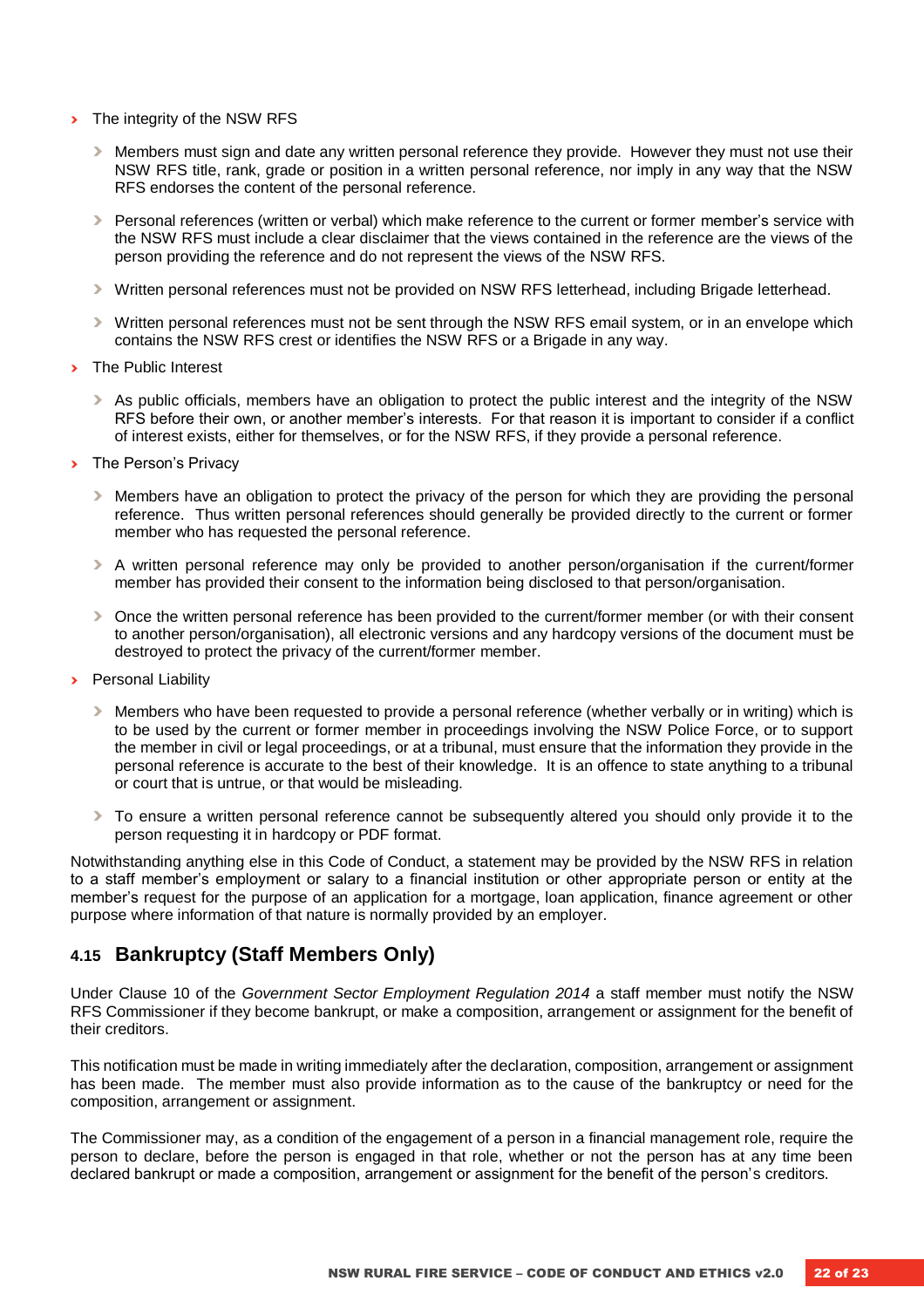- **›** The integrity of the NSW RFS
	- **›** Members must sign and date any written personal reference they provide. However they must not use their NSW RFS title, rank, grade or position in a written personal reference, nor imply in any way that the NSW RFS endorses the content of the personal reference.
	- **›** Personal references (written or verbal) which make reference to the current or former member's service with the NSW RFS must include a clear disclaimer that the views contained in the reference are the views of the person providing the reference and do not represent the views of the NSW RFS.
	- **›** Written personal references must not be provided on NSW RFS letterhead, including Brigade letterhead.
	- **›** Written personal references must not be sent through the NSW RFS email system, or in an envelope which contains the NSW RFS crest or identifies the NSW RFS or a Brigade in any way.
- **›** The Public Interest
	- **›** As public officials, members have an obligation to protect the public interest and the integrity of the NSW RFS before their own, or another member's interests. For that reason it is important to consider if a conflict of interest exists, either for themselves, or for the NSW RFS, if they provide a personal reference.
- **›** The Person's Privacy
	- **›** Members have an obligation to protect the privacy of the person for which they are providing the personal reference. Thus written personal references should generally be provided directly to the current or former member who has requested the personal reference.
	- **›** A written personal reference may only be provided to another person/organisation if the current/former member has provided their consent to the information being disclosed to that person/organisation.
	- **›** Once the written personal reference has been provided to the current/former member (or with their consent to another person/organisation), all electronic versions and any hardcopy versions of the document must be destroyed to protect the privacy of the current/former member.
- **›** Personal Liability
	- **›** Members who have been requested to provide a personal reference (whether verbally or in writing) which is to be used by the current or former member in proceedings involving the NSW Police Force, or to support the member in civil or legal proceedings, or at a tribunal, must ensure that the information they provide in the personal reference is accurate to the best of their knowledge. It is an offence to state anything to a tribunal or court that is untrue, or that would be misleading.
	- **›** To ensure a written personal reference cannot be subsequently altered you should only provide it to the person requesting it in hardcopy or PDF format.

Notwithstanding anything else in this Code of Conduct, a statement may be provided by the NSW RFS in relation to a staff member's employment or salary to a financial institution or other appropriate person or entity at the member's request for the purpose of an application for a mortgage, loan application, finance agreement or other purpose where information of that nature is normally provided by an employer.

#### <span id="page-21-0"></span>**4.15 Bankruptcy (Staff Members Only)**

Under Clause 10 of the *Government Sector Employment Regulation 2014* a staff member must notify the NSW RFS Commissioner if they become bankrupt, or make a composition, arrangement or assignment for the benefit of their creditors.

This notification must be made in writing immediately after the declaration, composition, arrangement or assignment has been made. The member must also provide information as to the cause of the bankruptcy or need for the composition, arrangement or assignment.

The Commissioner may, as a condition of the engagement of a person in a financial management role, require the person to declare, before the person is engaged in that role, whether or not the person has at any time been declared bankrupt or made a composition, arrangement or assignment for the benefit of the person's creditors.